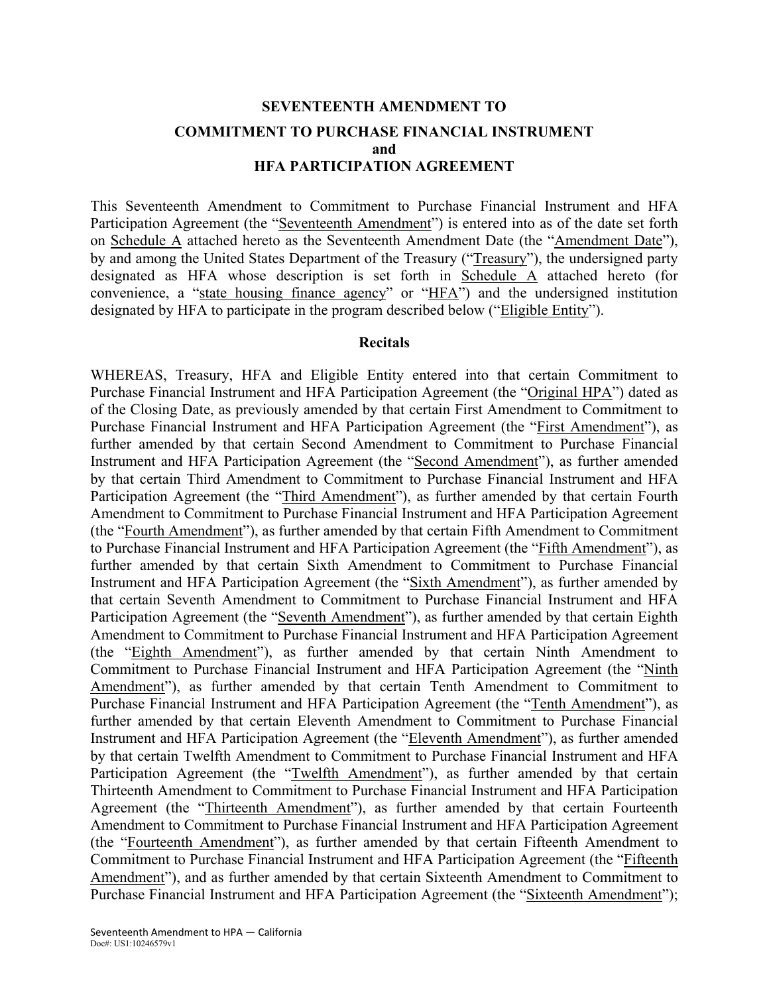# **SEVENTEENTH AMENDMENT TO COMMITMENT TO PURCHASE FINANCIAL INSTRUMENT and HFA PARTICIPATION AGREEMENT**

This Seventeenth Amendment to Commitment to Purchase Financial Instrument and HFA Participation Agreement (the "Seventeenth Amendment") is entered into as of the date set forth on Schedule A attached hereto as the Seventeenth Amendment Date (the "Amendment Date"), by and among the United States Department of the Treasury ("Treasury"), the undersigned party designated as HFA whose description is set forth in Schedule A attached hereto (for convenience, a "state housing finance agency" or "HFA") and the undersigned institution designated by HFA to participate in the program described below ("Eligible Entity").

#### **Recitals**

WHEREAS, Treasury, HFA and Eligible Entity entered into that certain Commitment to Purchase Financial Instrument and HFA Participation Agreement (the "Original HPA") dated as of the Closing Date, as previously amended by that certain First Amendment to Commitment to Purchase Financial Instrument and HFA Participation Agreement (the "First Amendment"), as further amended by that certain Second Amendment to Commitment to Purchase Financial Instrument and HFA Participation Agreement (the "Second Amendment"), as further amended by that certain Third Amendment to Commitment to Purchase Financial Instrument and HFA Participation Agreement (the "Third Amendment"), as further amended by that certain Fourth Amendment to Commitment to Purchase Financial Instrument and HFA Participation Agreement (the "Fourth Amendment"), as further amended by that certain Fifth Amendment to Commitment to Purchase Financial Instrument and HFA Participation Agreement (the "Fifth Amendment"), as further amended by that certain Sixth Amendment to Commitment to Purchase Financial Instrument and HFA Participation Agreement (the "Sixth Amendment"), as further amended by that certain Seventh Amendment to Commitment to Purchase Financial Instrument and HFA Participation Agreement (the "Seventh Amendment"), as further amended by that certain Eighth Amendment to Commitment to Purchase Financial Instrument and HFA Participation Agreement (the "Eighth Amendment"), as further amended by that certain Ninth Amendment to Commitment to Purchase Financial Instrument and HFA Participation Agreement (the "Ninth Amendment"), as further amended by that certain Tenth Amendment to Commitment to Purchase Financial Instrument and HFA Participation Agreement (the "Tenth Amendment"), as further amended by that certain Eleventh Amendment to Commitment to Purchase Financial Instrument and HFA Participation Agreement (the "Eleventh Amendment"), as further amended by that certain Twelfth Amendment to Commitment to Purchase Financial Instrument and HFA Participation Agreement (the "Twelfth Amendment"), as further amended by that certain Thirteenth Amendment to Commitment to Purchase Financial Instrument and HFA Participation Agreement (the "Thirteenth Amendment"), as further amended by that certain Fourteenth Amendment to Commitment to Purchase Financial Instrument and HFA Participation Agreement (the "Fourteenth Amendment"), as further amended by that certain Fifteenth Amendment to Commitment to Purchase Financial Instrument and HFA Participation Agreement (the "Fifteenth Amendment"), and as further amended by that certain Sixteenth Amendment to Commitment to Purchase Financial Instrument and HFA Participation Agreement (the "Sixteenth Amendment");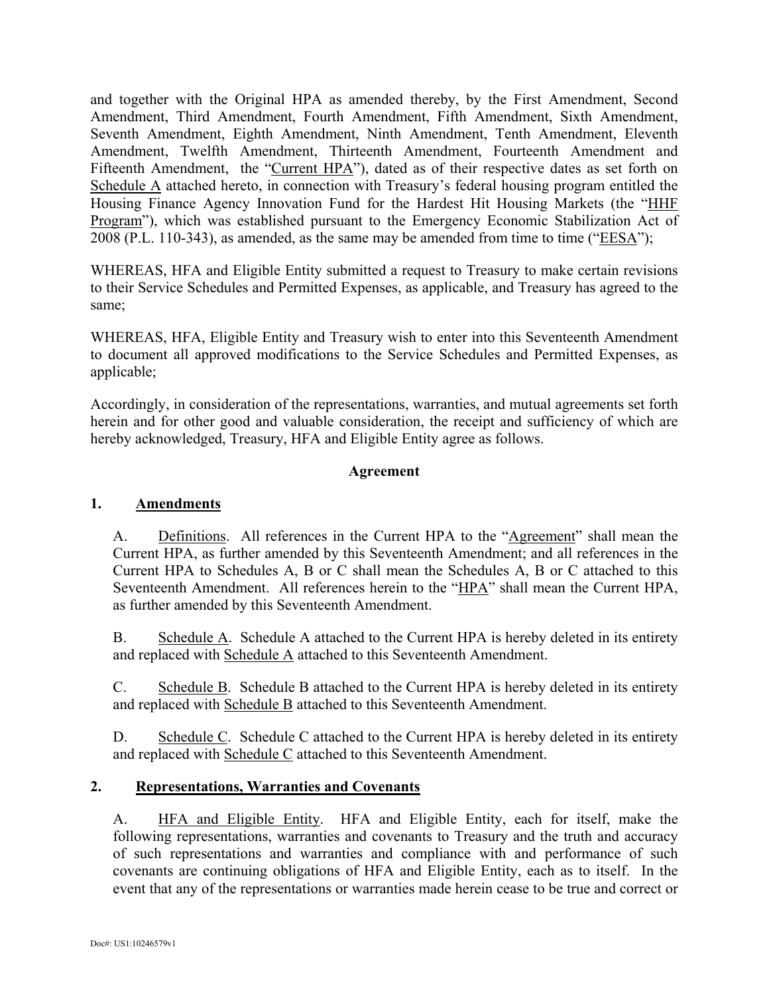and together with the Original HPA as amended thereby, by the First Amendment, Second Amendment, Third Amendment, Fourth Amendment, Fifth Amendment, Sixth Amendment, Seventh Amendment, Eighth Amendment, Ninth Amendment, Tenth Amendment, Eleventh Amendment, Twelfth Amendment, Thirteenth Amendment, Fourteenth Amendment and Fifteenth Amendment, the "Current HPA"), dated as of their respective dates as set forth on Schedule A attached hereto, in connection with Treasury's federal housing program entitled the Housing Finance Agency Innovation Fund for the Hardest Hit Housing Markets (the "HHF Program"), which was established pursuant to the Emergency Economic Stabilization Act of 2008 (P.L. 110-343), as amended, as the same may be amended from time to time ("EESA");

WHEREAS, HFA and Eligible Entity submitted a request to Treasury to make certain revisions to their Service Schedules and Permitted Expenses, as applicable, and Treasury has agreed to the same;

WHEREAS, HFA, Eligible Entity and Treasury wish to enter into this Seventeenth Amendment to document all approved modifications to the Service Schedules and Permitted Expenses, as applicable;

Accordingly, in consideration of the representations, warranties, and mutual agreements set forth herein and for other good and valuable consideration, the receipt and sufficiency of which are hereby acknowledged, Treasury, HFA and Eligible Entity agree as follows.

### **Agreement**

### **1. Amendments**

A. Definitions. All references in the Current HPA to the "Agreement" shall mean the Current HPA, as further amended by this Seventeenth Amendment; and all references in the Current HPA to Schedules A, B or C shall mean the Schedules A, B or C attached to this Seventeenth Amendment. All references herein to the "HPA" shall mean the Current HPA, as further amended by this Seventeenth Amendment.

B. Schedule A. Schedule A attached to the Current HPA is hereby deleted in its entirety and replaced with Schedule A attached to this Seventeenth Amendment.

C. Schedule B. Schedule B attached to the Current HPA is hereby deleted in its entirety and replaced with Schedule B attached to this Seventeenth Amendment.

D. Schedule C. Schedule C attached to the Current HPA is hereby deleted in its entirety and replaced with Schedule C attached to this Seventeenth Amendment.

### **2. Representations, Warranties and Covenants**

A. HFA and Eligible Entity. HFA and Eligible Entity, each for itself, make the following representations, warranties and covenants to Treasury and the truth and accuracy of such representations and warranties and compliance with and performance of such covenants are continuing obligations of HFA and Eligible Entity, each as to itself. In the event that any of the representations or warranties made herein cease to be true and correct or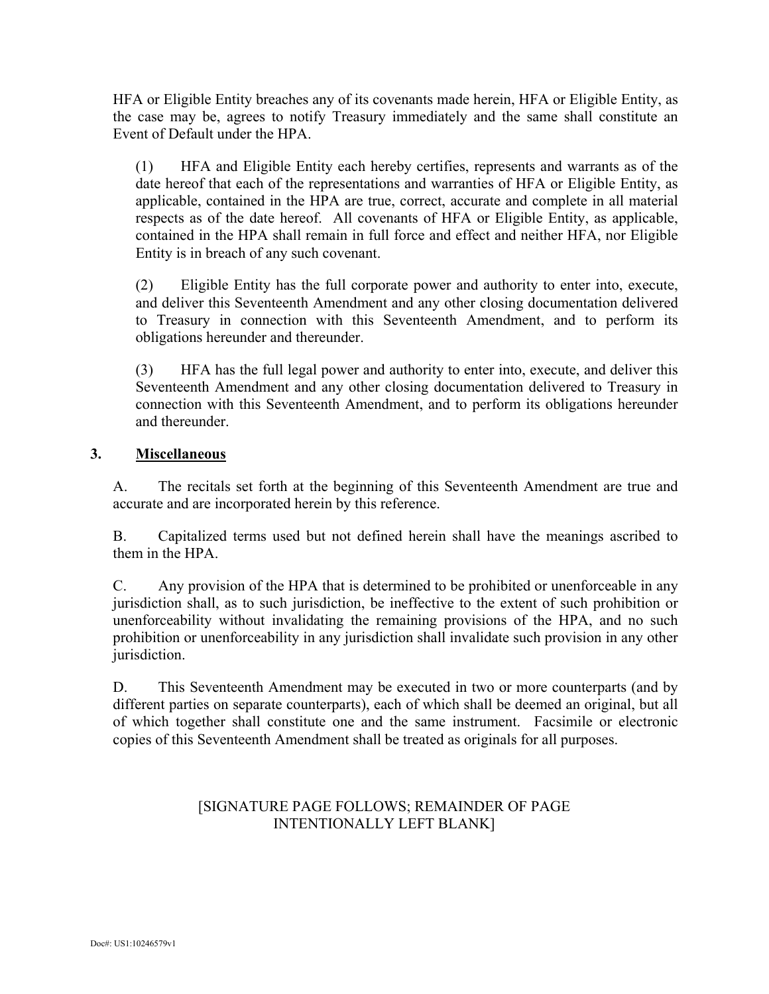HFA or Eligible Entity breaches any of its covenants made herein, HFA or Eligible Entity, as the case may be, agrees to notify Treasury immediately and the same shall constitute an Event of Default under the HPA.

(1) HFA and Eligible Entity each hereby certifies, represents and warrants as of the date hereof that each of the representations and warranties of HFA or Eligible Entity, as applicable, contained in the HPA are true, correct, accurate and complete in all material respects as of the date hereof. All covenants of HFA or Eligible Entity, as applicable, contained in the HPA shall remain in full force and effect and neither HFA, nor Eligible Entity is in breach of any such covenant.

(2) Eligible Entity has the full corporate power and authority to enter into, execute, and deliver this Seventeenth Amendment and any other closing documentation delivered to Treasury in connection with this Seventeenth Amendment, and to perform its obligations hereunder and thereunder.

(3) HFA has the full legal power and authority to enter into, execute, and deliver this Seventeenth Amendment and any other closing documentation delivered to Treasury in connection with this Seventeenth Amendment, and to perform its obligations hereunder and thereunder.

### **3. Miscellaneous**

A. The recitals set forth at the beginning of this Seventeenth Amendment are true and accurate and are incorporated herein by this reference.

B. Capitalized terms used but not defined herein shall have the meanings ascribed to them in the HPA.

C. Any provision of the HPA that is determined to be prohibited or unenforceable in any jurisdiction shall, as to such jurisdiction, be ineffective to the extent of such prohibition or unenforceability without invalidating the remaining provisions of the HPA, and no such prohibition or unenforceability in any jurisdiction shall invalidate such provision in any other jurisdiction.

D. This Seventeenth Amendment may be executed in two or more counterparts (and by different parties on separate counterparts), each of which shall be deemed an original, but all of which together shall constitute one and the same instrument. Facsimile or electronic copies of this Seventeenth Amendment shall be treated as originals for all purposes.

### [SIGNATURE PAGE FOLLOWS; REMAINDER OF PAGE INTENTIONALLY LEFT BLANK]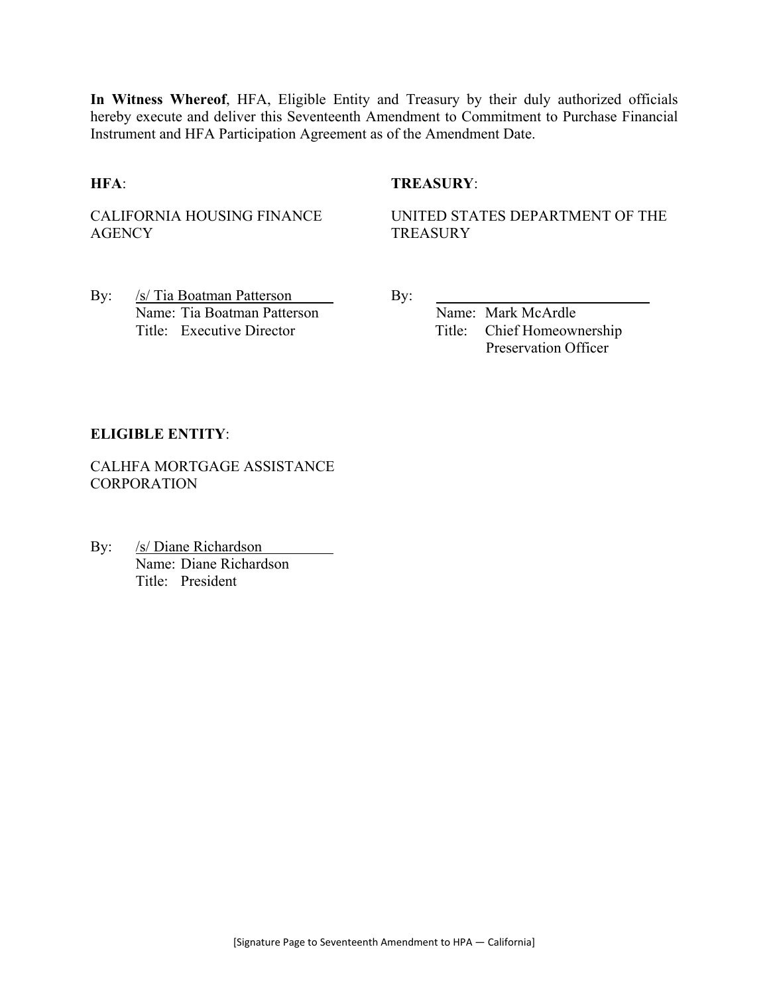**In Witness Whereof**, HFA, Eligible Entity and Treasury by their duly authorized officials hereby execute and deliver this Seventeenth Amendment to Commitment to Purchase Financial Instrument and HFA Participation Agreement as of the Amendment Date.

#### **HFA**: **TREASURY**:

CALIFORNIA HOUSING FINANCE **AGENCY** 

UNITED STATES DEPARTMENT OF THE **TREASURY** 

By: /s/ Tia Boatman Patterson By: Name: Tia Boatman Patterson Name: Mark McArdle Title: Executive Director Title: Chief Homeownership

Preservation Officer

#### **ELIGIBLE ENTITY**:

CALHFA MORTGAGE ASSISTANCE **CORPORATION** 

By: /s/ Diane Richardson Name: Diane Richardson Title: President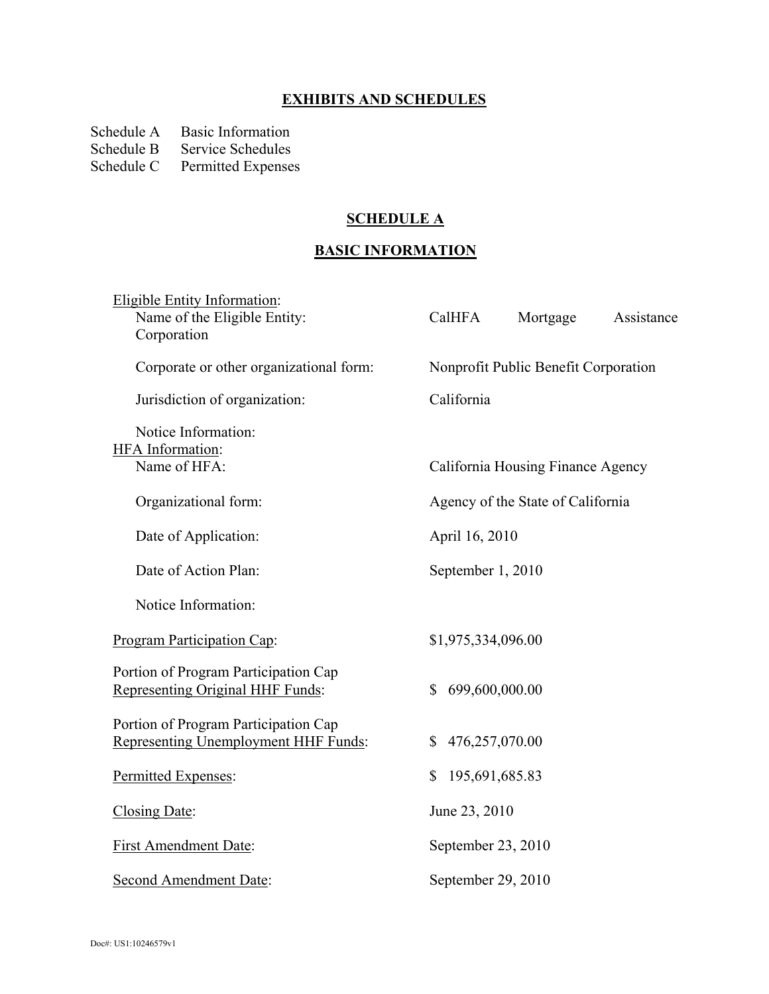## **EXHIBITS AND SCHEDULES**

Schedule A Basic Information<br>Schedule B Service Schedules

Schedule B Service Schedules<br>Schedule C Permitted Expense

Permitted Expenses

### **SCHEDULE A**

# **BASIC INFORMATION**

| <b>Eligible Entity Information:</b><br>Name of the Eligible Entity:<br>Corporation | CalHFA                         | Mortgage                             | Assistance |
|------------------------------------------------------------------------------------|--------------------------------|--------------------------------------|------------|
| Corporate or other organizational form:                                            |                                | Nonprofit Public Benefit Corporation |            |
| Jurisdiction of organization:                                                      | California                     |                                      |            |
| Notice Information:<br><b>HFA</b> Information:<br>Name of HFA:                     |                                | California Housing Finance Agency    |            |
| Organizational form:                                                               |                                | Agency of the State of California    |            |
| Date of Application:                                                               | April 16, 2010                 |                                      |            |
| Date of Action Plan:                                                               | September 1, 2010              |                                      |            |
| Notice Information:                                                                |                                |                                      |            |
| <b>Program Participation Cap:</b>                                                  | \$1,975,334,096.00             |                                      |            |
| Portion of Program Participation Cap<br>Representing Original HHF Funds:           | 699,600,000.00<br>\$           |                                      |            |
| Portion of Program Participation Cap<br>Representing Unemployment HHF Funds:       | 476,257,070.00<br>\$           |                                      |            |
| Permitted Expenses:                                                                | $\mathbb{S}$<br>195,691,685.83 |                                      |            |
| Closing Date:                                                                      | June 23, 2010                  |                                      |            |
| <b>First Amendment Date:</b>                                                       | September 23, 2010             |                                      |            |
| Second Amendment Date:                                                             | September 29, 2010             |                                      |            |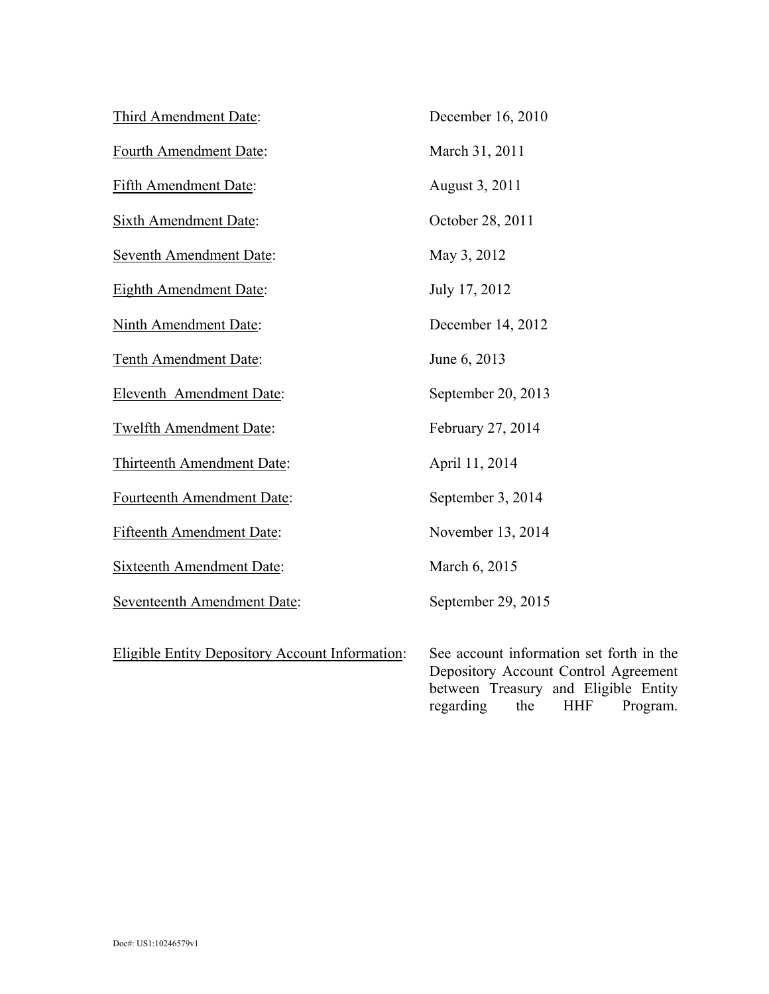| Third Amendment Date:                                  | December 16, 2010                                                                |
|--------------------------------------------------------|----------------------------------------------------------------------------------|
| Fourth Amendment Date:                                 | March 31, 2011                                                                   |
| Fifth Amendment Date:                                  | August 3, 2011                                                                   |
| <b>Sixth Amendment Date:</b>                           | October 28, 2011                                                                 |
| Seventh Amendment Date:                                | May 3, 2012                                                                      |
| <b>Eighth Amendment Date:</b>                          | July 17, 2012                                                                    |
| Ninth Amendment Date:                                  | December 14, 2012                                                                |
| Tenth Amendment Date:                                  | June 6, 2013                                                                     |
| Eleventh Amendment Date:                               | September 20, 2013                                                               |
| Twelfth Amendment Date:                                | February 27, 2014                                                                |
| Thirteenth Amendment Date:                             | April 11, 2014                                                                   |
| Fourteenth Amendment Date:                             | September 3, 2014                                                                |
| <b>Fifteenth Amendment Date:</b>                       | November 13, 2014                                                                |
| <b>Sixteenth Amendment Date:</b>                       | March 6, 2015                                                                    |
| Seventeenth Amendment Date:                            | September 29, 2015                                                               |
| <b>Eligible Entity Depository Account Information:</b> | See account information set forth in the<br>Depository Account Control Agreement |

Depository Account Control Agreement between Treasury and Eligible Entity regarding the HHF Program.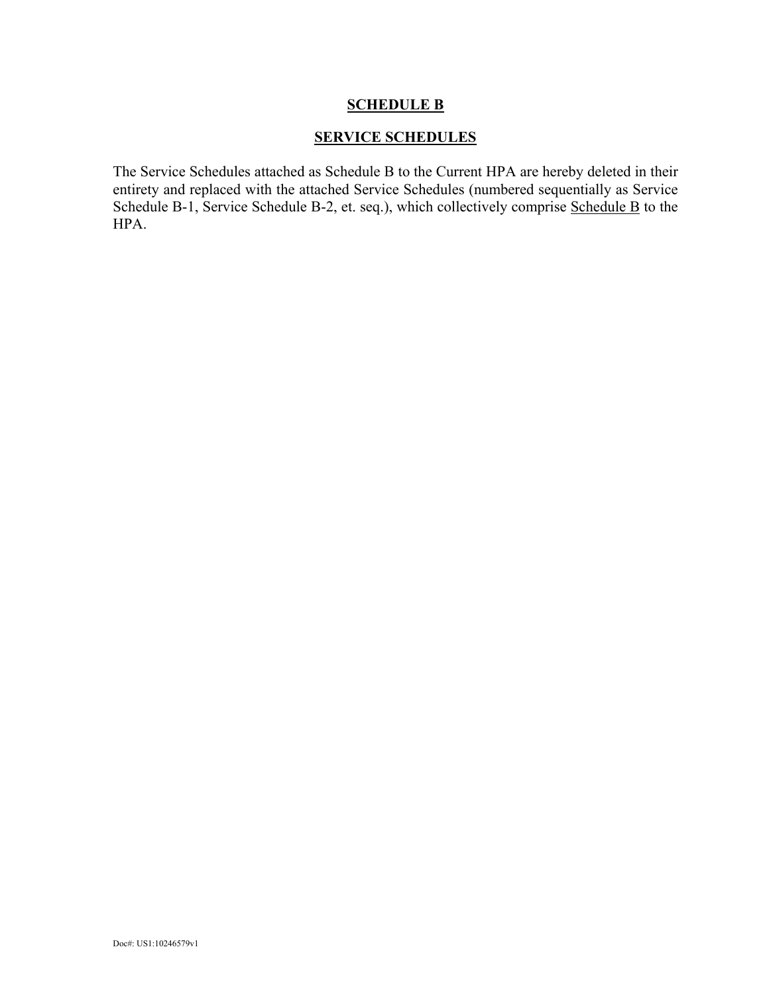#### **SERVICE SCHEDULES**

The Service Schedules attached as Schedule B to the Current HPA are hereby deleted in their entirety and replaced with the attached Service Schedules (numbered sequentially as Service Schedule B-1, Service Schedule B-2, et. seq.), which collectively comprise Schedule B to the HPA.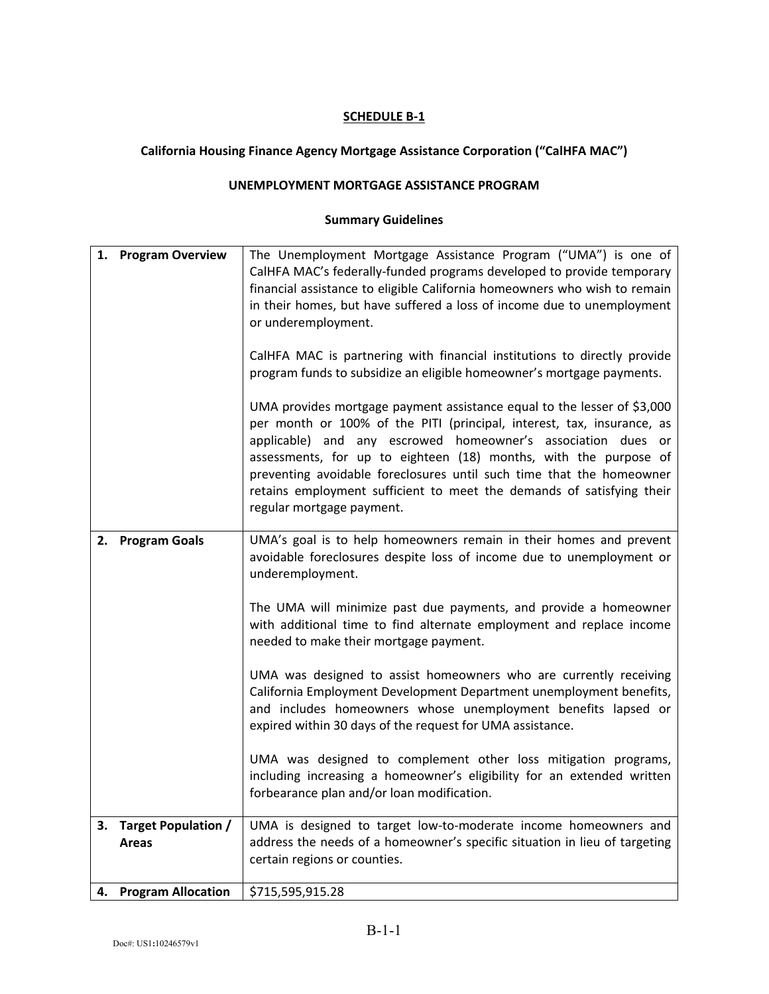### **California Housing Finance Agency Mortgage Assistance Corporation ("CalHFA MAC")**

# **UNEMPLOYMENT MORTGAGE ASSISTANCE PROGRAM**

|    | 1. Program Overview                 | The Unemployment Mortgage Assistance Program ("UMA") is one of<br>CalHFA MAC's federally-funded programs developed to provide temporary<br>financial assistance to eligible California homeowners who wish to remain<br>in their homes, but have suffered a loss of income due to unemployment<br>or underemployment.<br>CalHFA MAC is partnering with financial institutions to directly provide<br>program funds to subsidize an eligible homeowner's mortgage payments.<br>UMA provides mortgage payment assistance equal to the lesser of \$3,000<br>per month or 100% of the PITI (principal, interest, tax, insurance, as<br>applicable) and any escrowed homeowner's association dues or<br>assessments, for up to eighteen (18) months, with the purpose of<br>preventing avoidable foreclosures until such time that the homeowner<br>retains employment sufficient to meet the demands of satisfying their<br>regular mortgage payment. |
|----|-------------------------------------|---------------------------------------------------------------------------------------------------------------------------------------------------------------------------------------------------------------------------------------------------------------------------------------------------------------------------------------------------------------------------------------------------------------------------------------------------------------------------------------------------------------------------------------------------------------------------------------------------------------------------------------------------------------------------------------------------------------------------------------------------------------------------------------------------------------------------------------------------------------------------------------------------------------------------------------------------|
| 2. | <b>Program Goals</b>                | UMA's goal is to help homeowners remain in their homes and prevent<br>avoidable foreclosures despite loss of income due to unemployment or<br>underemployment.<br>The UMA will minimize past due payments, and provide a homeowner<br>with additional time to find alternate employment and replace income                                                                                                                                                                                                                                                                                                                                                                                                                                                                                                                                                                                                                                        |
|    |                                     | needed to make their mortgage payment.<br>UMA was designed to assist homeowners who are currently receiving<br>California Employment Development Department unemployment benefits,<br>and includes homeowners whose unemployment benefits lapsed or<br>expired within 30 days of the request for UMA assistance.<br>UMA was designed to complement other loss mitigation programs,<br>including increasing a homeowner's eligibility for an extended written<br>forbearance plan and/or loan modification.                                                                                                                                                                                                                                                                                                                                                                                                                                        |
| З. | Target Population /<br><b>Areas</b> | UMA is designed to target low-to-moderate income homeowners and<br>address the needs of a homeowner's specific situation in lieu of targeting<br>certain regions or counties.                                                                                                                                                                                                                                                                                                                                                                                                                                                                                                                                                                                                                                                                                                                                                                     |
| 4. | <b>Program Allocation</b>           | \$715,595,915.28                                                                                                                                                                                                                                                                                                                                                                                                                                                                                                                                                                                                                                                                                                                                                                                                                                                                                                                                  |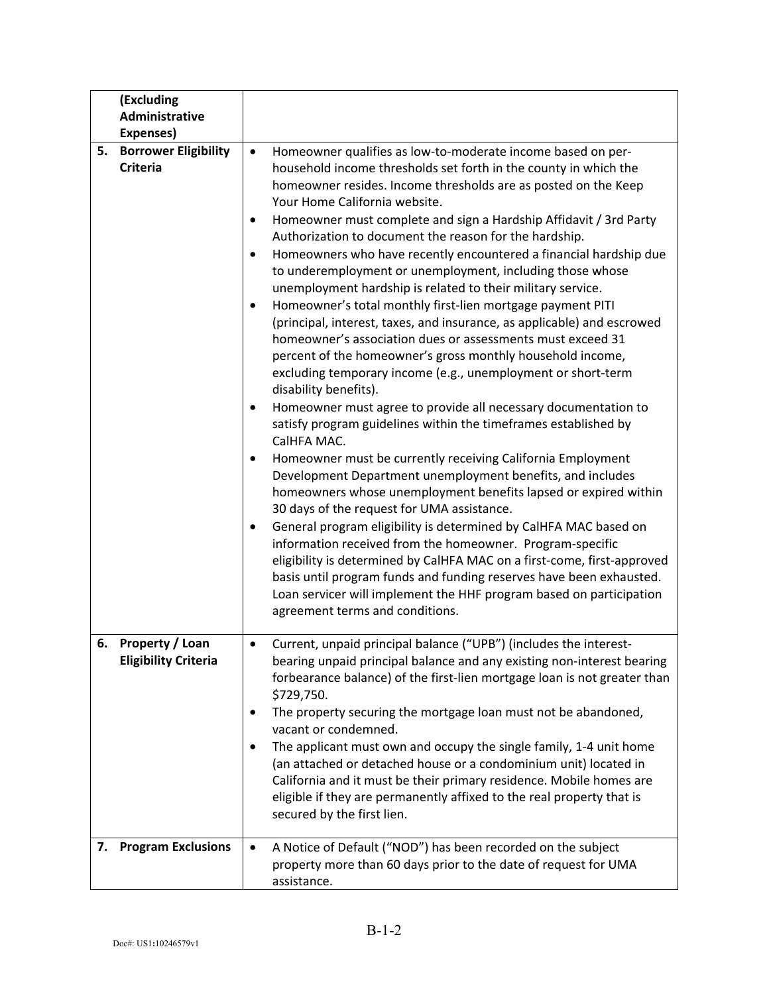| (Excluding<br>Administrative                         |                                                                                                                                                                                                                                                                                                                                                                                                                                                                                                                                                                                                                                                                                                                                                                                                                                                                                                                                                                                                                                                                                                                                                                                                                                                                                                                                                                                                                                                                                                                                                                                                                                                                                                                                                                          |
|------------------------------------------------------|--------------------------------------------------------------------------------------------------------------------------------------------------------------------------------------------------------------------------------------------------------------------------------------------------------------------------------------------------------------------------------------------------------------------------------------------------------------------------------------------------------------------------------------------------------------------------------------------------------------------------------------------------------------------------------------------------------------------------------------------------------------------------------------------------------------------------------------------------------------------------------------------------------------------------------------------------------------------------------------------------------------------------------------------------------------------------------------------------------------------------------------------------------------------------------------------------------------------------------------------------------------------------------------------------------------------------------------------------------------------------------------------------------------------------------------------------------------------------------------------------------------------------------------------------------------------------------------------------------------------------------------------------------------------------------------------------------------------------------------------------------------------------|
| Expenses)                                            |                                                                                                                                                                                                                                                                                                                                                                                                                                                                                                                                                                                                                                                                                                                                                                                                                                                                                                                                                                                                                                                                                                                                                                                                                                                                                                                                                                                                                                                                                                                                                                                                                                                                                                                                                                          |
| <b>Borrower Eligibility</b><br>5.<br><b>Criteria</b> | Homeowner qualifies as low-to-moderate income based on per-<br>$\bullet$<br>household income thresholds set forth in the county in which the<br>homeowner resides. Income thresholds are as posted on the Keep<br>Your Home California website.<br>Homeowner must complete and sign a Hardship Affidavit / 3rd Party<br>Authorization to document the reason for the hardship.<br>Homeowners who have recently encountered a financial hardship due<br>to underemployment or unemployment, including those whose<br>unemployment hardship is related to their military service.<br>Homeowner's total monthly first-lien mortgage payment PITI<br>$\bullet$<br>(principal, interest, taxes, and insurance, as applicable) and escrowed<br>homeowner's association dues or assessments must exceed 31<br>percent of the homeowner's gross monthly household income,<br>excluding temporary income (e.g., unemployment or short-term<br>disability benefits).<br>Homeowner must agree to provide all necessary documentation to<br>٠<br>satisfy program guidelines within the timeframes established by<br>CalHFA MAC.<br>Homeowner must be currently receiving California Employment<br>٠<br>Development Department unemployment benefits, and includes<br>homeowners whose unemployment benefits lapsed or expired within<br>30 days of the request for UMA assistance.<br>General program eligibility is determined by CalHFA MAC based on<br>٠<br>information received from the homeowner. Program-specific<br>eligibility is determined by CalHFA MAC on a first-come, first-approved<br>basis until program funds and funding reserves have been exhausted.<br>Loan servicer will implement the HHF program based on participation<br>agreement terms and conditions. |
| 6. Property / Loan<br><b>Eligibility Criteria</b>    | Current, unpaid principal balance ("UPB") (includes the interest-<br>bearing unpaid principal balance and any existing non-interest bearing<br>forbearance balance) of the first-lien mortgage loan is not greater than<br>\$729,750.<br>The property securing the mortgage loan must not be abandoned,<br>vacant or condemned.<br>The applicant must own and occupy the single family, 1-4 unit home<br>(an attached or detached house or a condominium unit) located in<br>California and it must be their primary residence. Mobile homes are<br>eligible if they are permanently affixed to the real property that is<br>secured by the first lien.                                                                                                                                                                                                                                                                                                                                                                                                                                                                                                                                                                                                                                                                                                                                                                                                                                                                                                                                                                                                                                                                                                                  |
| <b>Program Exclusions</b><br>7.                      | A Notice of Default ("NOD") has been recorded on the subject<br>$\bullet$<br>property more than 60 days prior to the date of request for UMA<br>assistance.                                                                                                                                                                                                                                                                                                                                                                                                                                                                                                                                                                                                                                                                                                                                                                                                                                                                                                                                                                                                                                                                                                                                                                                                                                                                                                                                                                                                                                                                                                                                                                                                              |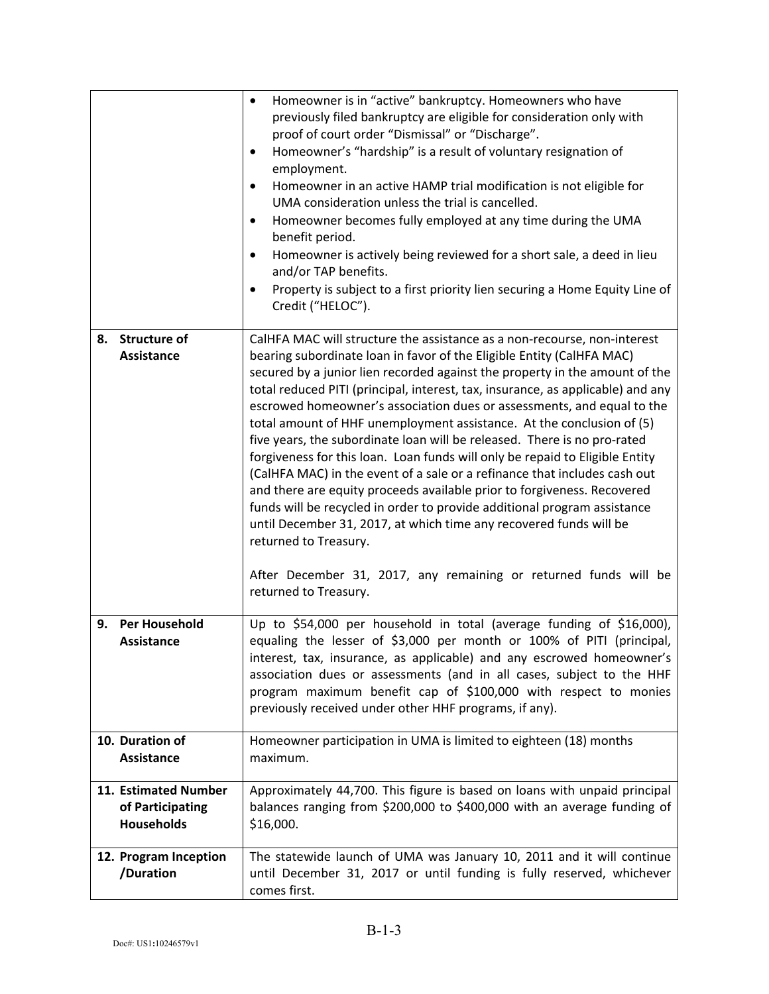|                                                |                                          | Homeowner is in "active" bankruptcy. Homeowners who have<br>$\bullet$<br>previously filed bankruptcy are eligible for consideration only with<br>proof of court order "Dismissal" or "Discharge".<br>Homeowner's "hardship" is a result of voluntary resignation of<br>٠<br>employment.<br>Homeowner in an active HAMP trial modification is not eligible for<br>$\bullet$<br>UMA consideration unless the trial is cancelled.<br>Homeowner becomes fully employed at any time during the UMA<br>٠<br>benefit period.<br>Homeowner is actively being reviewed for a short sale, a deed in lieu<br>and/or TAP benefits.<br>Property is subject to a first priority lien securing a Home Equity Line of<br>٠<br>Credit ("HELOC").                                                                                                                                                                                                                                                        |
|------------------------------------------------|------------------------------------------|----------------------------------------------------------------------------------------------------------------------------------------------------------------------------------------------------------------------------------------------------------------------------------------------------------------------------------------------------------------------------------------------------------------------------------------------------------------------------------------------------------------------------------------------------------------------------------------------------------------------------------------------------------------------------------------------------------------------------------------------------------------------------------------------------------------------------------------------------------------------------------------------------------------------------------------------------------------------------------------|
| <b>Structure of</b><br>8.<br><b>Assistance</b> |                                          | CalHFA MAC will structure the assistance as a non-recourse, non-interest                                                                                                                                                                                                                                                                                                                                                                                                                                                                                                                                                                                                                                                                                                                                                                                                                                                                                                               |
|                                                |                                          | bearing subordinate loan in favor of the Eligible Entity (CalHFA MAC)<br>secured by a junior lien recorded against the property in the amount of the<br>total reduced PITI (principal, interest, tax, insurance, as applicable) and any<br>escrowed homeowner's association dues or assessments, and equal to the<br>total amount of HHF unemployment assistance. At the conclusion of (5)<br>five years, the subordinate loan will be released. There is no pro-rated<br>forgiveness for this loan. Loan funds will only be repaid to Eligible Entity<br>(CalHFA MAC) in the event of a sale or a refinance that includes cash out<br>and there are equity proceeds available prior to forgiveness. Recovered<br>funds will be recycled in order to provide additional program assistance<br>until December 31, 2017, at which time any recovered funds will be<br>returned to Treasury.<br>After December 31, 2017, any remaining or returned funds will be<br>returned to Treasury. |
| 9.                                             | <b>Per Household</b>                     | Up to \$54,000 per household in total (average funding of \$16,000),                                                                                                                                                                                                                                                                                                                                                                                                                                                                                                                                                                                                                                                                                                                                                                                                                                                                                                                   |
| <b>Assistance</b>                              |                                          | equaling the lesser of \$3,000 per month or 100% of PITI (principal,<br>interest, tax, insurance, as applicable) and any escrowed homeowner's<br>association dues or assessments (and in all cases, subject to the HHF<br>program maximum benefit cap of \$100,000 with respect to monies<br>previously received under other HHF programs, if any).                                                                                                                                                                                                                                                                                                                                                                                                                                                                                                                                                                                                                                    |
| 10. Duration of<br><b>Assistance</b>           |                                          | Homeowner participation in UMA is limited to eighteen (18) months<br>maximum.                                                                                                                                                                                                                                                                                                                                                                                                                                                                                                                                                                                                                                                                                                                                                                                                                                                                                                          |
| <b>Households</b>                              | 11. Estimated Number<br>of Participating | Approximately 44,700. This figure is based on loans with unpaid principal<br>balances ranging from \$200,000 to \$400,000 with an average funding of<br>\$16,000.                                                                                                                                                                                                                                                                                                                                                                                                                                                                                                                                                                                                                                                                                                                                                                                                                      |
| /Duration                                      | 12. Program Inception                    | The statewide launch of UMA was January 10, 2011 and it will continue<br>until December 31, 2017 or until funding is fully reserved, whichever<br>comes first.                                                                                                                                                                                                                                                                                                                                                                                                                                                                                                                                                                                                                                                                                                                                                                                                                         |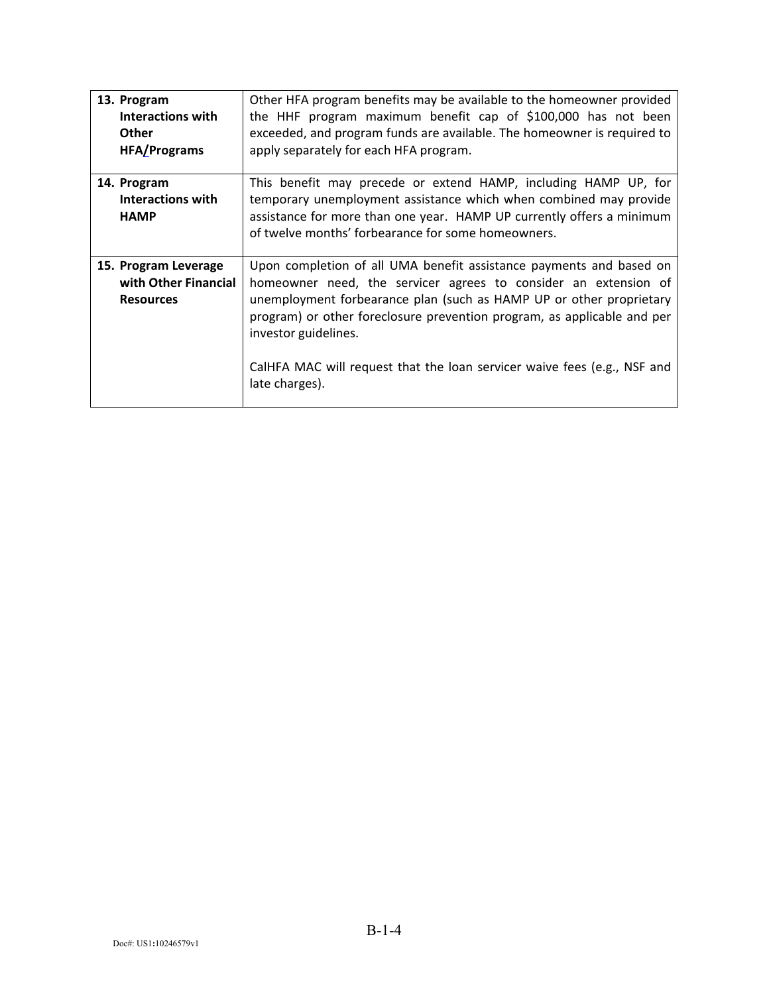| 13. Program<br>Interactions with<br><b>Other</b><br><b>HFA/Programs</b> | Other HFA program benefits may be available to the homeowner provided<br>the HHF program maximum benefit cap of \$100,000 has not been<br>exceeded, and program funds are available. The homeowner is required to<br>apply separately for each HFA program.                                                                                                                                                    |
|-------------------------------------------------------------------------|----------------------------------------------------------------------------------------------------------------------------------------------------------------------------------------------------------------------------------------------------------------------------------------------------------------------------------------------------------------------------------------------------------------|
| 14. Program<br>Interactions with<br><b>HAMP</b>                         | This benefit may precede or extend HAMP, including HAMP UP, for<br>temporary unemployment assistance which when combined may provide<br>assistance for more than one year. HAMP UP currently offers a minimum<br>of twelve months' forbearance for some homeowners.                                                                                                                                            |
| 15. Program Leverage<br>with Other Financial<br><b>Resources</b>        | Upon completion of all UMA benefit assistance payments and based on<br>homeowner need, the servicer agrees to consider an extension of<br>unemployment forbearance plan (such as HAMP UP or other proprietary<br>program) or other foreclosure prevention program, as applicable and per<br>investor guidelines.<br>CalHFA MAC will request that the loan servicer waive fees (e.g., NSF and<br>late charges). |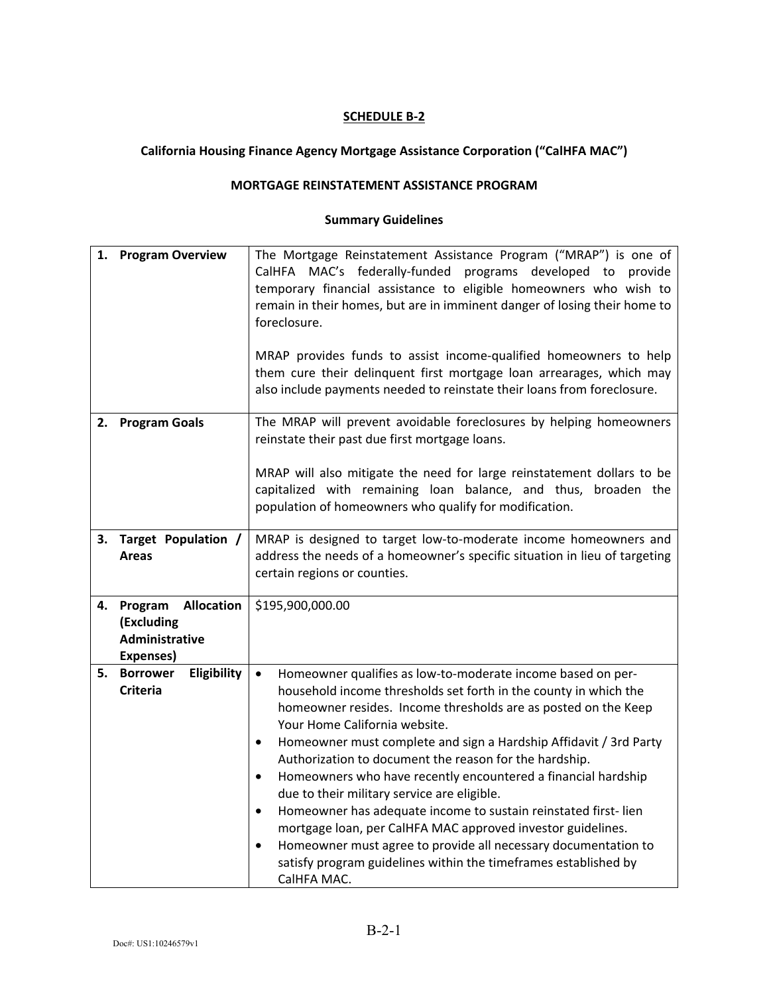# **California Housing Finance Agency Mortgage Assistance Corporation ("CalHFA MAC")**

#### **MORTGAGE REINSTATEMENT ASSISTANCE PROGRAM**

| 1. | <b>Program Overview</b>                                                   | The Mortgage Reinstatement Assistance Program ("MRAP") is one of<br>CalHFA MAC's federally-funded programs developed to provide<br>temporary financial assistance to eligible homeowners who wish to<br>remain in their homes, but are in imminent danger of losing their home to<br>foreclosure.<br>MRAP provides funds to assist income-qualified homeowners to help<br>them cure their delinquent first mortgage loan arrearages, which may<br>also include payments needed to reinstate their loans from foreclosure.                                                                                                                                                                                                                                                                                                               |
|----|---------------------------------------------------------------------------|-----------------------------------------------------------------------------------------------------------------------------------------------------------------------------------------------------------------------------------------------------------------------------------------------------------------------------------------------------------------------------------------------------------------------------------------------------------------------------------------------------------------------------------------------------------------------------------------------------------------------------------------------------------------------------------------------------------------------------------------------------------------------------------------------------------------------------------------|
| 2. | <b>Program Goals</b>                                                      | The MRAP will prevent avoidable foreclosures by helping homeowners<br>reinstate their past due first mortgage loans.<br>MRAP will also mitigate the need for large reinstatement dollars to be<br>capitalized with remaining loan balance, and thus, broaden the<br>population of homeowners who qualify for modification.                                                                                                                                                                                                                                                                                                                                                                                                                                                                                                              |
| 3. | Target Population /<br><b>Areas</b>                                       | MRAP is designed to target low-to-moderate income homeowners and<br>address the needs of a homeowner's specific situation in lieu of targeting<br>certain regions or counties.                                                                                                                                                                                                                                                                                                                                                                                                                                                                                                                                                                                                                                                          |
| 4. | <b>Allocation</b><br>Program<br>(Excluding<br>Administrative<br>Expenses) | \$195,900,000.00                                                                                                                                                                                                                                                                                                                                                                                                                                                                                                                                                                                                                                                                                                                                                                                                                        |
| 5. | <b>Borrower</b><br>Eligibility<br><b>Criteria</b>                         | Homeowner qualifies as low-to-moderate income based on per-<br>$\bullet$<br>household income thresholds set forth in the county in which the<br>homeowner resides. Income thresholds are as posted on the Keep<br>Your Home California website.<br>Homeowner must complete and sign a Hardship Affidavit / 3rd Party<br>$\bullet$<br>Authorization to document the reason for the hardship.<br>Homeowners who have recently encountered a financial hardship<br>$\bullet$<br>due to their military service are eligible.<br>Homeowner has adequate income to sustain reinstated first-lien<br>$\bullet$<br>mortgage loan, per CalHFA MAC approved investor guidelines.<br>Homeowner must agree to provide all necessary documentation to<br>$\bullet$<br>satisfy program guidelines within the timeframes established by<br>CalHFA MAC. |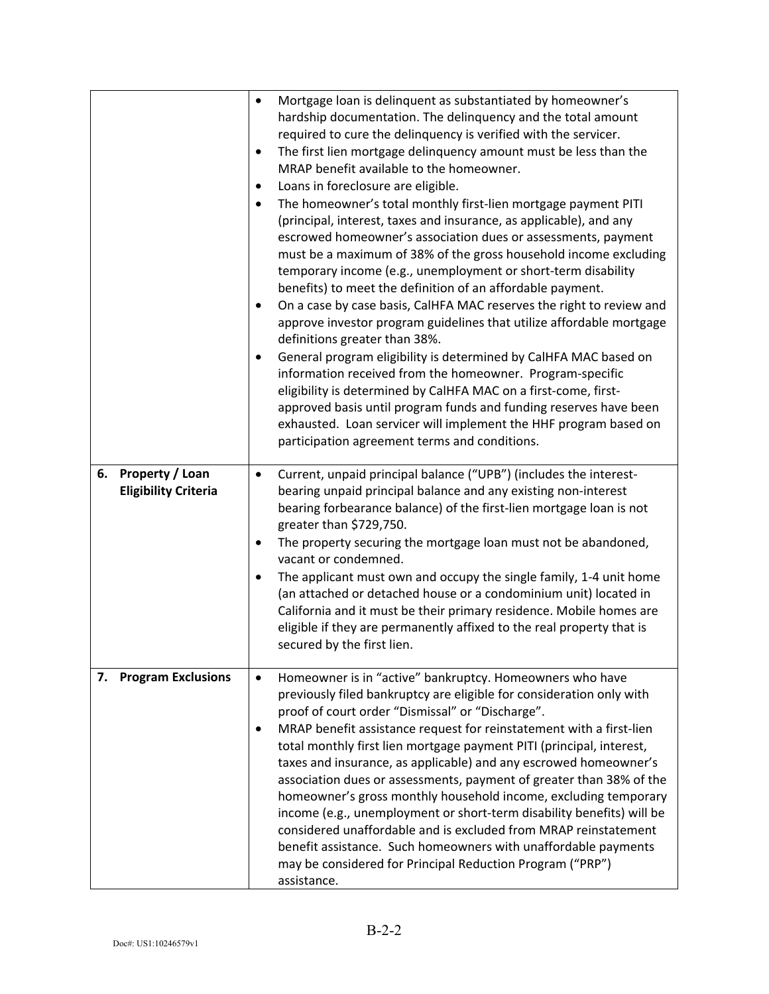|    |                                                       | $\bullet$<br>$\bullet$<br>$\bullet$<br>$\bullet$<br>$\bullet$<br>٠ | Mortgage loan is delinquent as substantiated by homeowner's<br>hardship documentation. The delinquency and the total amount<br>required to cure the delinquency is verified with the servicer.<br>The first lien mortgage delinquency amount must be less than the<br>MRAP benefit available to the homeowner.<br>Loans in foreclosure are eligible.<br>The homeowner's total monthly first-lien mortgage payment PITI<br>(principal, interest, taxes and insurance, as applicable), and any<br>escrowed homeowner's association dues or assessments, payment<br>must be a maximum of 38% of the gross household income excluding<br>temporary income (e.g., unemployment or short-term disability<br>benefits) to meet the definition of an affordable payment.<br>On a case by case basis, CalHFA MAC reserves the right to review and<br>approve investor program guidelines that utilize affordable mortgage<br>definitions greater than 38%.<br>General program eligibility is determined by CalHFA MAC based on<br>information received from the homeowner. Program-specific<br>eligibility is determined by CalHFA MAC on a first-come, first-<br>approved basis until program funds and funding reserves have been<br>exhausted. Loan servicer will implement the HHF program based on<br>participation agreement terms and conditions. |
|----|-------------------------------------------------------|--------------------------------------------------------------------|-------------------------------------------------------------------------------------------------------------------------------------------------------------------------------------------------------------------------------------------------------------------------------------------------------------------------------------------------------------------------------------------------------------------------------------------------------------------------------------------------------------------------------------------------------------------------------------------------------------------------------------------------------------------------------------------------------------------------------------------------------------------------------------------------------------------------------------------------------------------------------------------------------------------------------------------------------------------------------------------------------------------------------------------------------------------------------------------------------------------------------------------------------------------------------------------------------------------------------------------------------------------------------------------------------------------------------------------------|
| 6. | <b>Property / Loan</b><br><b>Eligibility Criteria</b> | $\bullet$<br>$\bullet$                                             | Current, unpaid principal balance ("UPB") (includes the interest-<br>bearing unpaid principal balance and any existing non-interest<br>bearing forbearance balance) of the first-lien mortgage loan is not<br>greater than \$729,750.<br>The property securing the mortgage loan must not be abandoned,                                                                                                                                                                                                                                                                                                                                                                                                                                                                                                                                                                                                                                                                                                                                                                                                                                                                                                                                                                                                                                         |
|    |                                                       |                                                                    | vacant or condemned.                                                                                                                                                                                                                                                                                                                                                                                                                                                                                                                                                                                                                                                                                                                                                                                                                                                                                                                                                                                                                                                                                                                                                                                                                                                                                                                            |
|    |                                                       | $\bullet$                                                          | The applicant must own and occupy the single family, 1-4 unit home<br>(an attached or detached house or a condominium unit) located in<br>California and it must be their primary residence. Mobile homes are<br>eligible if they are permanently affixed to the real property that is<br>secured by the first lien.                                                                                                                                                                                                                                                                                                                                                                                                                                                                                                                                                                                                                                                                                                                                                                                                                                                                                                                                                                                                                            |
|    | 7. Program Exclusions                                 | $\bullet$<br>$\bullet$                                             | Homeowner is in "active" bankruptcy. Homeowners who have<br>previously filed bankruptcy are eligible for consideration only with<br>proof of court order "Dismissal" or "Discharge".<br>MRAP benefit assistance request for reinstatement with a first-lien<br>total monthly first lien mortgage payment PITI (principal, interest,<br>taxes and insurance, as applicable) and any escrowed homeowner's<br>association dues or assessments, payment of greater than 38% of the<br>homeowner's gross monthly household income, excluding temporary<br>income (e.g., unemployment or short-term disability benefits) will be<br>considered unaffordable and is excluded from MRAP reinstatement<br>benefit assistance. Such homeowners with unaffordable payments<br>may be considered for Principal Reduction Program ("PRP")<br>assistance.                                                                                                                                                                                                                                                                                                                                                                                                                                                                                                     |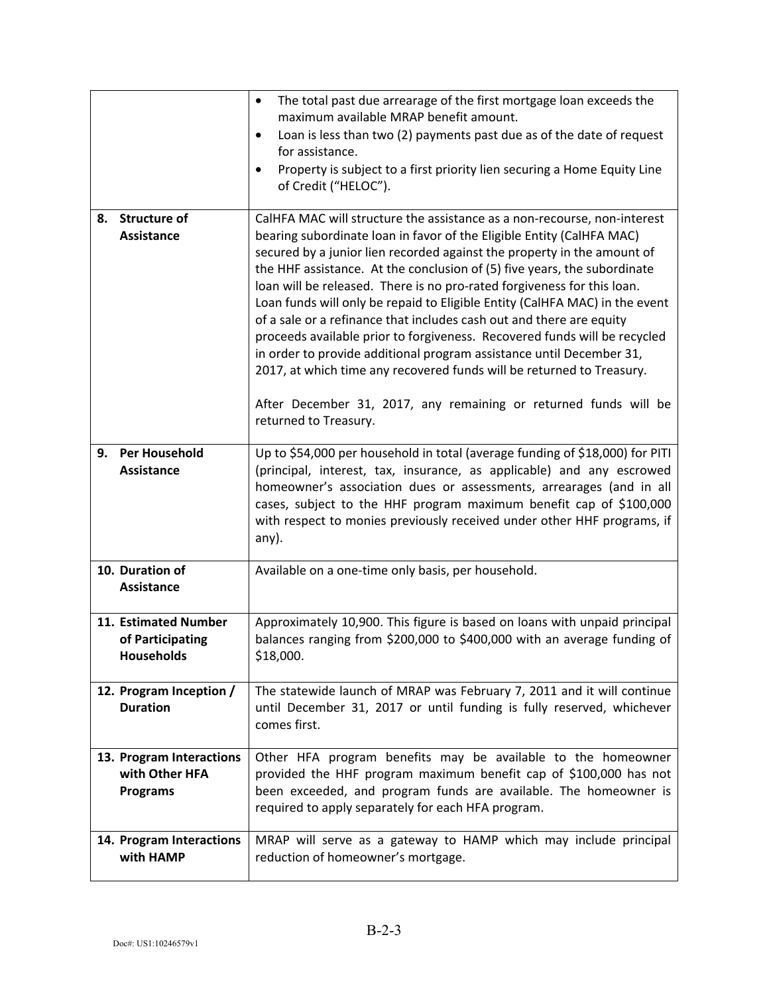|                                                               | The total past due arrearage of the first mortgage loan exceeds the<br>$\bullet$<br>maximum available MRAP benefit amount.<br>Loan is less than two (2) payments past due as of the date of request<br>$\bullet$<br>for assistance.<br>Property is subject to a first priority lien securing a Home Equity Line<br>$\bullet$<br>of Credit ("HELOC").                                                                                                                                                                                                                                                                                                                                                                                                                                                                                                                  |
|---------------------------------------------------------------|-----------------------------------------------------------------------------------------------------------------------------------------------------------------------------------------------------------------------------------------------------------------------------------------------------------------------------------------------------------------------------------------------------------------------------------------------------------------------------------------------------------------------------------------------------------------------------------------------------------------------------------------------------------------------------------------------------------------------------------------------------------------------------------------------------------------------------------------------------------------------|
| 8. Structure of<br><b>Assistance</b>                          | CalHFA MAC will structure the assistance as a non-recourse, non-interest<br>bearing subordinate loan in favor of the Eligible Entity (CalHFA MAC)<br>secured by a junior lien recorded against the property in the amount of<br>the HHF assistance. At the conclusion of (5) five years, the subordinate<br>loan will be released. There is no pro-rated forgiveness for this loan.<br>Loan funds will only be repaid to Eligible Entity (CalHFA MAC) in the event<br>of a sale or a refinance that includes cash out and there are equity<br>proceeds available prior to forgiveness. Recovered funds will be recycled<br>in order to provide additional program assistance until December 31,<br>2017, at which time any recovered funds will be returned to Treasury.<br>After December 31, 2017, any remaining or returned funds will be<br>returned to Treasury. |
| <b>Per Household</b><br>9.<br><b>Assistance</b>               | Up to \$54,000 per household in total (average funding of \$18,000) for PITI<br>(principal, interest, tax, insurance, as applicable) and any escrowed<br>homeowner's association dues or assessments, arrearages (and in all<br>cases, subject to the HHF program maximum benefit cap of \$100,000<br>with respect to monies previously received under other HHF programs, if<br>any).                                                                                                                                                                                                                                                                                                                                                                                                                                                                                |
| 10. Duration of<br><b>Assistance</b>                          | Available on a one-time only basis, per household.                                                                                                                                                                                                                                                                                                                                                                                                                                                                                                                                                                                                                                                                                                                                                                                                                    |
| 11. Estimated Number<br>of Participating<br><b>Households</b> | Approximately 10,900. This figure is based on loans with unpaid principal<br>balances ranging from \$200,000 to \$400,000 with an average funding of<br>\$18,000.                                                                                                                                                                                                                                                                                                                                                                                                                                                                                                                                                                                                                                                                                                     |
| 12. Program Inception /<br><b>Duration</b>                    | The statewide launch of MRAP was February 7, 2011 and it will continue<br>until December 31, 2017 or until funding is fully reserved, whichever<br>comes first.                                                                                                                                                                                                                                                                                                                                                                                                                                                                                                                                                                                                                                                                                                       |
| 13. Program Interactions<br>with Other HFA<br><b>Programs</b> | Other HFA program benefits may be available to the homeowner<br>provided the HHF program maximum benefit cap of \$100,000 has not<br>been exceeded, and program funds are available. The homeowner is<br>required to apply separately for each HFA program.                                                                                                                                                                                                                                                                                                                                                                                                                                                                                                                                                                                                           |
| 14. Program Interactions<br>with HAMP                         | MRAP will serve as a gateway to HAMP which may include principal<br>reduction of homeowner's mortgage.                                                                                                                                                                                                                                                                                                                                                                                                                                                                                                                                                                                                                                                                                                                                                                |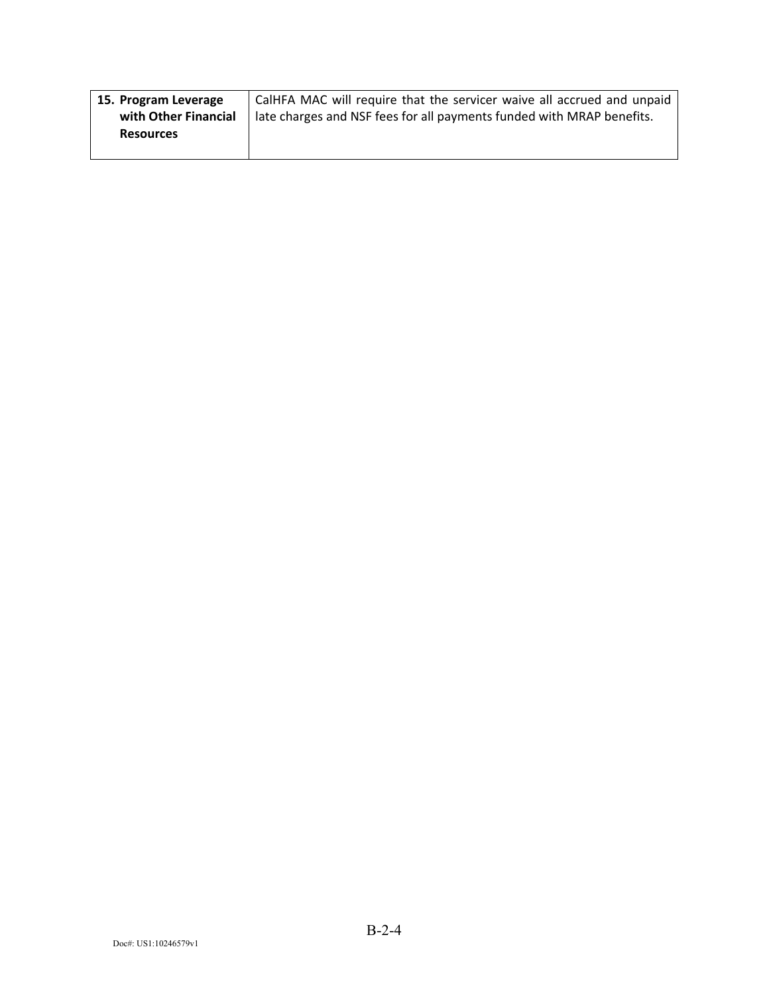| 15. Program Leverage | CalHFA MAC will require that the servicer waive all accrued and unpaid |
|----------------------|------------------------------------------------------------------------|
| with Other Financial | late charges and NSF fees for all payments funded with MRAP benefits.  |
| <b>Resources</b>     |                                                                        |
|                      |                                                                        |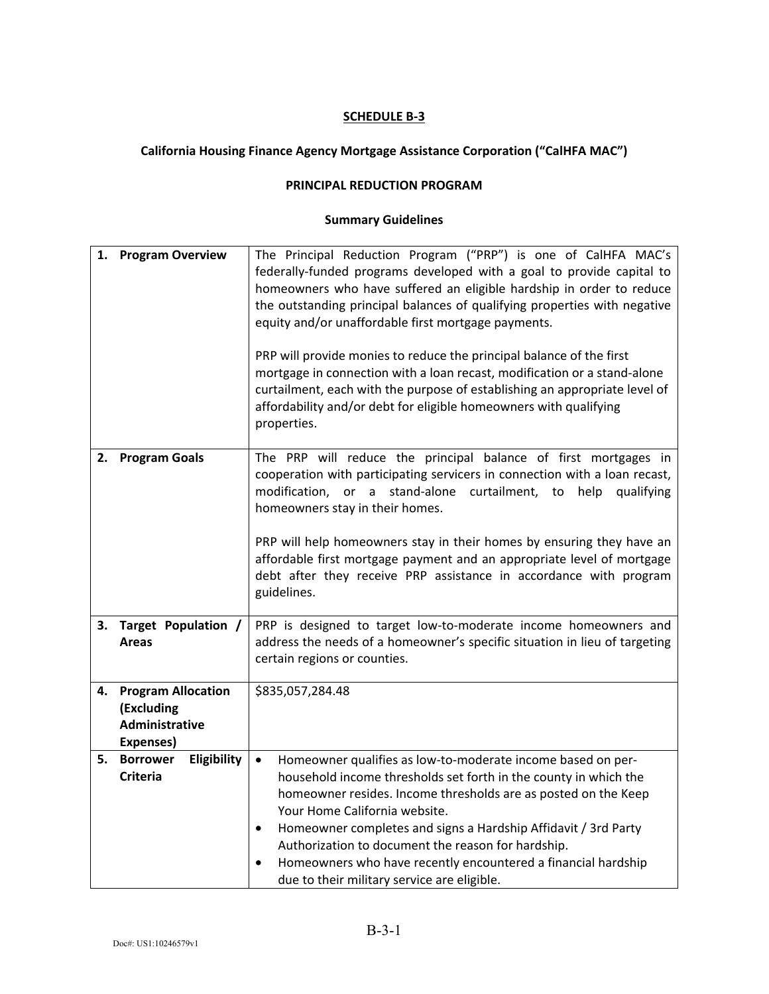# **California Housing Finance Agency Mortgage Assistance Corporation ("CalHFA MAC")**

#### **PRINCIPAL REDUCTION PROGRAM**

| 1. | <b>Program Overview</b>                                                | The Principal Reduction Program ("PRP") is one of CalHFA MAC's<br>federally-funded programs developed with a goal to provide capital to<br>homeowners who have suffered an eligible hardship in order to reduce<br>the outstanding principal balances of qualifying properties with negative<br>equity and/or unaffordable first mortgage payments.<br>PRP will provide monies to reduce the principal balance of the first<br>mortgage in connection with a loan recast, modification or a stand-alone<br>curtailment, each with the purpose of establishing an appropriate level of<br>affordability and/or debt for eligible homeowners with qualifying<br>properties. |
|----|------------------------------------------------------------------------|---------------------------------------------------------------------------------------------------------------------------------------------------------------------------------------------------------------------------------------------------------------------------------------------------------------------------------------------------------------------------------------------------------------------------------------------------------------------------------------------------------------------------------------------------------------------------------------------------------------------------------------------------------------------------|
| 2. | <b>Program Goals</b>                                                   | The PRP will reduce the principal balance of first mortgages in<br>cooperation with participating servicers in connection with a loan recast,<br>modification, or a stand-alone curtailment, to help qualifying<br>homeowners stay in their homes.<br>PRP will help homeowners stay in their homes by ensuring they have an<br>affordable first mortgage payment and an appropriate level of mortgage<br>debt after they receive PRP assistance in accordance with program<br>guidelines.                                                                                                                                                                                 |
| 3. | Target Population /<br><b>Areas</b>                                    | PRP is designed to target low-to-moderate income homeowners and<br>address the needs of a homeowner's specific situation in lieu of targeting<br>certain regions or counties.                                                                                                                                                                                                                                                                                                                                                                                                                                                                                             |
| 4. | <b>Program Allocation</b><br>(Excluding<br>Administrative<br>Expenses) | \$835,057,284.48                                                                                                                                                                                                                                                                                                                                                                                                                                                                                                                                                                                                                                                          |
| 5. | <b>Borrower</b><br>Eligibility<br><b>Criteria</b>                      | Homeowner qualifies as low-to-moderate income based on per-<br>$\bullet$<br>household income thresholds set forth in the county in which the<br>homeowner resides. Income thresholds are as posted on the Keep<br>Your Home California website.<br>Homeowner completes and signs a Hardship Affidavit / 3rd Party<br>$\bullet$<br>Authorization to document the reason for hardship.<br>Homeowners who have recently encountered a financial hardship<br>due to their military service are eligible.                                                                                                                                                                      |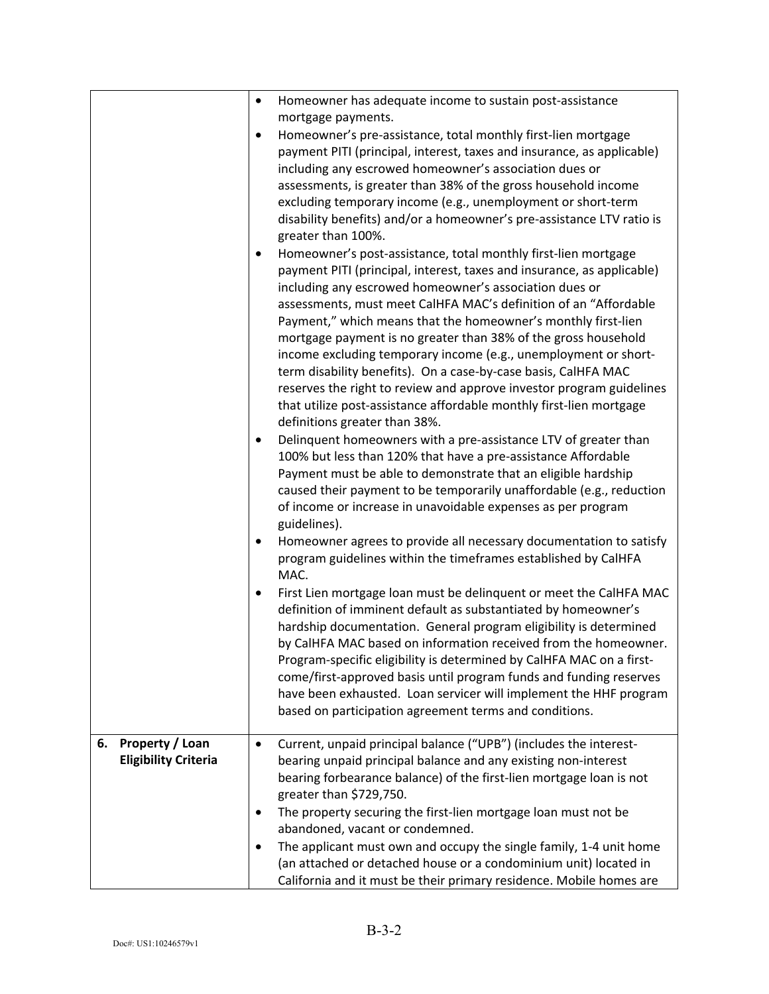|                                                      | Homeowner has adequate income to sustain post-assistance<br>$\bullet$<br>mortgage payments.                                                                                                                                                                                                                                                                                                                                                                                                                                                                                                                                                                                                                                                 |
|------------------------------------------------------|---------------------------------------------------------------------------------------------------------------------------------------------------------------------------------------------------------------------------------------------------------------------------------------------------------------------------------------------------------------------------------------------------------------------------------------------------------------------------------------------------------------------------------------------------------------------------------------------------------------------------------------------------------------------------------------------------------------------------------------------|
|                                                      | Homeowner's pre-assistance, total monthly first-lien mortgage<br>$\bullet$<br>payment PITI (principal, interest, taxes and insurance, as applicable)<br>including any escrowed homeowner's association dues or<br>assessments, is greater than 38% of the gross household income<br>excluding temporary income (e.g., unemployment or short-term<br>disability benefits) and/or a homeowner's pre-assistance LTV ratio is<br>greater than 100%.                                                                                                                                                                                                                                                                                             |
|                                                      | Homeowner's post-assistance, total monthly first-lien mortgage<br>$\bullet$<br>payment PITI (principal, interest, taxes and insurance, as applicable)<br>including any escrowed homeowner's association dues or<br>assessments, must meet CalHFA MAC's definition of an "Affordable<br>Payment," which means that the homeowner's monthly first-lien<br>mortgage payment is no greater than 38% of the gross household<br>income excluding temporary income (e.g., unemployment or short-<br>term disability benefits). On a case-by-case basis, CalHFA MAC<br>reserves the right to review and approve investor program guidelines<br>that utilize post-assistance affordable monthly first-lien mortgage<br>definitions greater than 38%. |
|                                                      | Delinquent homeowners with a pre-assistance LTV of greater than<br>٠<br>100% but less than 120% that have a pre-assistance Affordable<br>Payment must be able to demonstrate that an eligible hardship<br>caused their payment to be temporarily unaffordable (e.g., reduction<br>of income or increase in unavoidable expenses as per program<br>guidelines).                                                                                                                                                                                                                                                                                                                                                                              |
|                                                      | Homeowner agrees to provide all necessary documentation to satisfy<br>$\bullet$<br>program guidelines within the timeframes established by CalHFA<br>MAC.                                                                                                                                                                                                                                                                                                                                                                                                                                                                                                                                                                                   |
|                                                      | First Lien mortgage loan must be delinquent or meet the CalHFA MAC<br>$\bullet$<br>definition of imminent default as substantiated by homeowner's<br>hardship documentation. General program eligibility is determined<br>by CalHFA MAC based on information received from the homeowner.<br>Program-specific eligibility is determined by CalHFA MAC on a first-<br>come/first-approved basis until program funds and funding reserves<br>have been exhausted. Loan servicer will implement the HHF program<br>based on participation agreement terms and conditions.                                                                                                                                                                      |
| Property / Loan<br>6.<br><b>Eligibility Criteria</b> | Current, unpaid principal balance ("UPB") (includes the interest-<br>$\bullet$<br>bearing unpaid principal balance and any existing non-interest<br>bearing forbearance balance) of the first-lien mortgage loan is not<br>greater than \$729,750.                                                                                                                                                                                                                                                                                                                                                                                                                                                                                          |
|                                                      | The property securing the first-lien mortgage loan must not be<br>٠<br>abandoned, vacant or condemned.                                                                                                                                                                                                                                                                                                                                                                                                                                                                                                                                                                                                                                      |
|                                                      | The applicant must own and occupy the single family, 1-4 unit home<br>$\bullet$<br>(an attached or detached house or a condominium unit) located in<br>California and it must be their primary residence. Mobile homes are                                                                                                                                                                                                                                                                                                                                                                                                                                                                                                                  |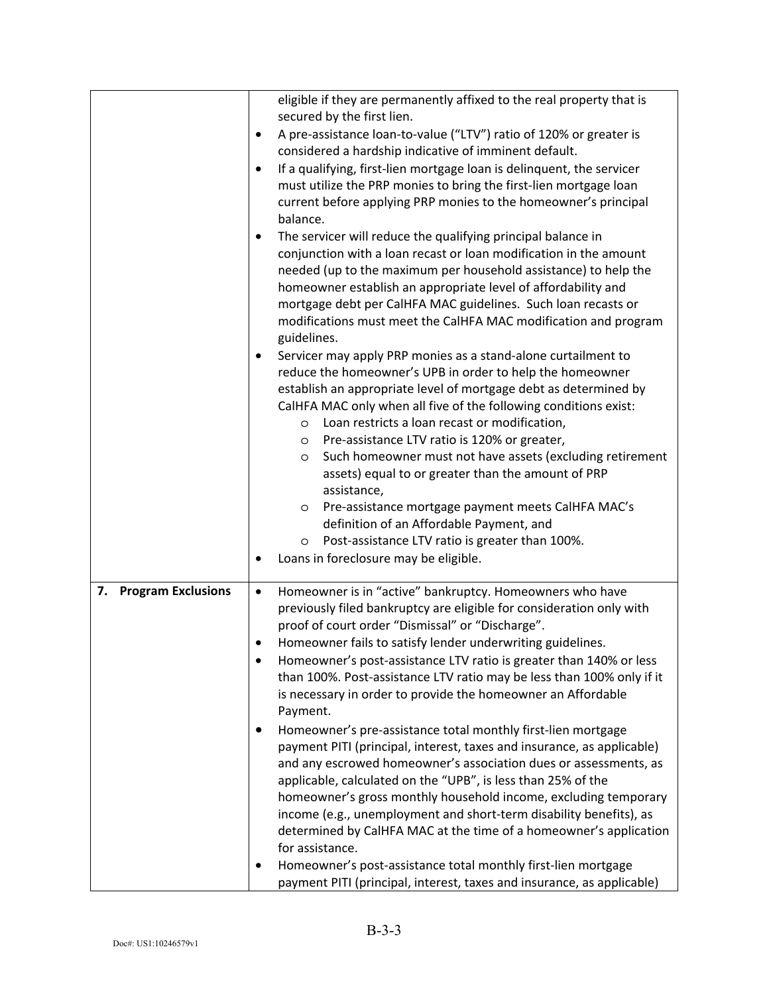|                                 | eligible if they are permanently affixed to the real property that is<br>secured by the first lien.<br>A pre-assistance loan-to-value ("LTV") ratio of 120% or greater is<br>٠<br>considered a hardship indicative of imminent default.<br>If a qualifying, first-lien mortgage loan is delinquent, the servicer<br>$\bullet$<br>must utilize the PRP monies to bring the first-lien mortgage loan<br>current before applying PRP monies to the homeowner's principal<br>balance.<br>The servicer will reduce the qualifying principal balance in<br>$\bullet$<br>conjunction with a loan recast or loan modification in the amount<br>needed (up to the maximum per household assistance) to help the<br>homeowner establish an appropriate level of affordability and<br>mortgage debt per CalHFA MAC guidelines. Such loan recasts or<br>modifications must meet the CalHFA MAC modification and program                                                                                                                                                                                                                                                       |
|---------------------------------|-------------------------------------------------------------------------------------------------------------------------------------------------------------------------------------------------------------------------------------------------------------------------------------------------------------------------------------------------------------------------------------------------------------------------------------------------------------------------------------------------------------------------------------------------------------------------------------------------------------------------------------------------------------------------------------------------------------------------------------------------------------------------------------------------------------------------------------------------------------------------------------------------------------------------------------------------------------------------------------------------------------------------------------------------------------------------------------------------------------------------------------------------------------------|
|                                 | guidelines.<br>Servicer may apply PRP monies as a stand-alone curtailment to<br>٠<br>reduce the homeowner's UPB in order to help the homeowner<br>establish an appropriate level of mortgage debt as determined by<br>CalHFA MAC only when all five of the following conditions exist:<br>Loan restricts a loan recast or modification,<br>O<br>Pre-assistance LTV ratio is 120% or greater,<br>$\circ$<br>Such homeowner must not have assets (excluding retirement<br>O<br>assets) equal to or greater than the amount of PRP<br>assistance,<br>Pre-assistance mortgage payment meets CalHFA MAC's<br>O<br>definition of an Affordable Payment, and<br>Post-assistance LTV ratio is greater than 100%.<br>O<br>Loans in foreclosure may be eligible.                                                                                                                                                                                                                                                                                                                                                                                                            |
| <b>Program Exclusions</b><br>7. | Homeowner is in "active" bankruptcy. Homeowners who have<br>$\bullet$<br>previously filed bankruptcy are eligible for consideration only with<br>proof of court order "Dismissal" or "Discharge".<br>Homeowner fails to satisfy lender underwriting guidelines.<br>$\bullet$<br>Homeowner's post-assistance LTV ratio is greater than 140% or less<br>than 100%. Post-assistance LTV ratio may be less than 100% only if it<br>is necessary in order to provide the homeowner an Affordable<br>Payment.<br>Homeowner's pre-assistance total monthly first-lien mortgage<br>payment PITI (principal, interest, taxes and insurance, as applicable)<br>and any escrowed homeowner's association dues or assessments, as<br>applicable, calculated on the "UPB", is less than 25% of the<br>homeowner's gross monthly household income, excluding temporary<br>income (e.g., unemployment and short-term disability benefits), as<br>determined by CalHFA MAC at the time of a homeowner's application<br>for assistance.<br>Homeowner's post-assistance total monthly first-lien mortgage<br>payment PITI (principal, interest, taxes and insurance, as applicable) |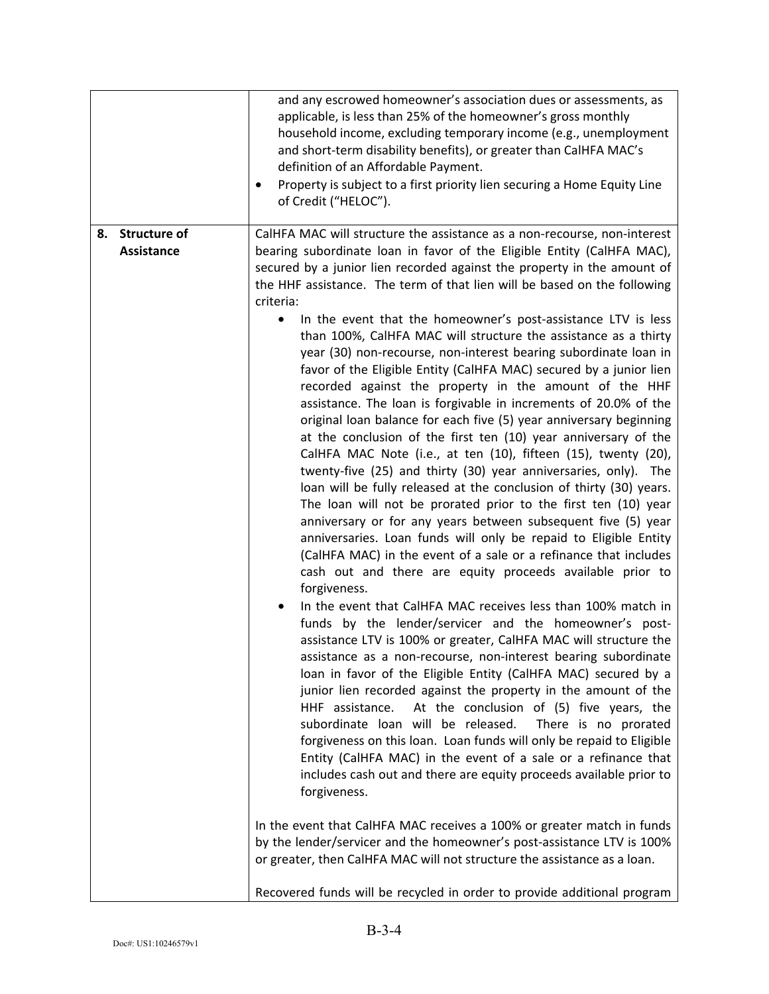|    |                                   | and any escrowed homeowner's association dues or assessments, as<br>applicable, is less than 25% of the homeowner's gross monthly<br>household income, excluding temporary income (e.g., unemployment<br>and short-term disability benefits), or greater than CalHFA MAC's<br>definition of an Affordable Payment.<br>Property is subject to a first priority lien securing a Home Equity Line<br>٠<br>of Credit ("HELOC").                                                                                                                                                                                                                                                                                                                                                                                                                                                                                                                                                                                                                                                                                                                                                                                                                                                                                                                                                                                                                                                                                                                                                                                                                                                                                                                                                                                                                                                                                                                                                                                                                                                                                                                                                                                                                                                                                                                                                                                                                       |
|----|-----------------------------------|---------------------------------------------------------------------------------------------------------------------------------------------------------------------------------------------------------------------------------------------------------------------------------------------------------------------------------------------------------------------------------------------------------------------------------------------------------------------------------------------------------------------------------------------------------------------------------------------------------------------------------------------------------------------------------------------------------------------------------------------------------------------------------------------------------------------------------------------------------------------------------------------------------------------------------------------------------------------------------------------------------------------------------------------------------------------------------------------------------------------------------------------------------------------------------------------------------------------------------------------------------------------------------------------------------------------------------------------------------------------------------------------------------------------------------------------------------------------------------------------------------------------------------------------------------------------------------------------------------------------------------------------------------------------------------------------------------------------------------------------------------------------------------------------------------------------------------------------------------------------------------------------------------------------------------------------------------------------------------------------------------------------------------------------------------------------------------------------------------------------------------------------------------------------------------------------------------------------------------------------------------------------------------------------------------------------------------------------------------------------------------------------------------------------------------------------------|
| 8. | <b>Structure of</b><br>Assistance | CalHFA MAC will structure the assistance as a non-recourse, non-interest<br>bearing subordinate loan in favor of the Eligible Entity (CalHFA MAC),<br>secured by a junior lien recorded against the property in the amount of<br>the HHF assistance. The term of that lien will be based on the following<br>criteria:<br>In the event that the homeowner's post-assistance LTV is less<br>than 100%, CalHFA MAC will structure the assistance as a thirty<br>year (30) non-recourse, non-interest bearing subordinate loan in<br>favor of the Eligible Entity (CalHFA MAC) secured by a junior lien<br>recorded against the property in the amount of the HHF<br>assistance. The loan is forgivable in increments of 20.0% of the<br>original loan balance for each five (5) year anniversary beginning<br>at the conclusion of the first ten (10) year anniversary of the<br>CalHFA MAC Note (i.e., at ten (10), fifteen (15), twenty (20),<br>twenty-five (25) and thirty (30) year anniversaries, only). The<br>loan will be fully released at the conclusion of thirty (30) years.<br>The loan will not be prorated prior to the first ten (10) year<br>anniversary or for any years between subsequent five (5) year<br>anniversaries. Loan funds will only be repaid to Eligible Entity<br>(CalHFA MAC) in the event of a sale or a refinance that includes<br>cash out and there are equity proceeds available prior to<br>forgiveness.<br>In the event that CalHFA MAC receives less than 100% match in<br>funds by the lender/servicer and the homeowner's post-<br>assistance LTV is 100% or greater, CalHFA MAC will structure the<br>assistance as a non-recourse, non-interest bearing subordinate<br>loan in favor of the Eligible Entity (CalHFA MAC) secured by a<br>junior lien recorded against the property in the amount of the<br>HHF assistance.<br>At the conclusion of (5) five years, the<br>subordinate loan will be released.<br>There is no prorated<br>forgiveness on this loan. Loan funds will only be repaid to Eligible<br>Entity (CalHFA MAC) in the event of a sale or a refinance that<br>includes cash out and there are equity proceeds available prior to<br>forgiveness.<br>In the event that CalHFA MAC receives a 100% or greater match in funds<br>by the lender/servicer and the homeowner's post-assistance LTV is 100%<br>or greater, then CalHFA MAC will not structure the assistance as a loan. |
|    |                                   | Recovered funds will be recycled in order to provide additional program                                                                                                                                                                                                                                                                                                                                                                                                                                                                                                                                                                                                                                                                                                                                                                                                                                                                                                                                                                                                                                                                                                                                                                                                                                                                                                                                                                                                                                                                                                                                                                                                                                                                                                                                                                                                                                                                                                                                                                                                                                                                                                                                                                                                                                                                                                                                                                           |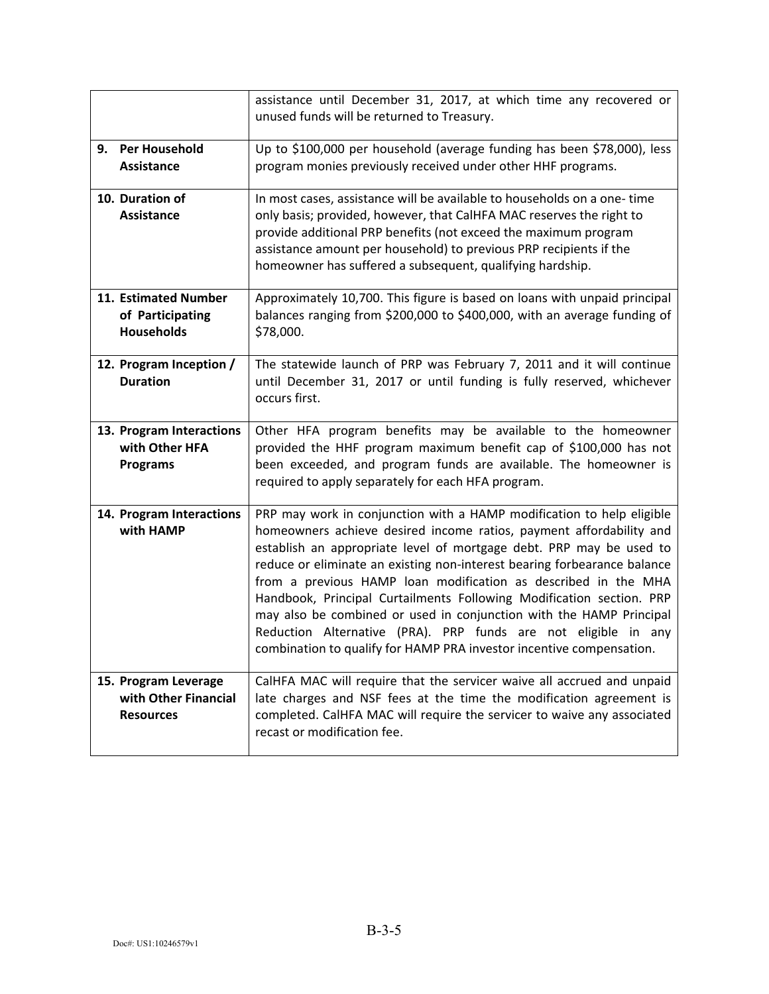|                                                                  | assistance until December 31, 2017, at which time any recovered or<br>unused funds will be returned to Treasury.                                                                                                                                                                                                                                                                                                                                                                                                                                                                                                                                           |
|------------------------------------------------------------------|------------------------------------------------------------------------------------------------------------------------------------------------------------------------------------------------------------------------------------------------------------------------------------------------------------------------------------------------------------------------------------------------------------------------------------------------------------------------------------------------------------------------------------------------------------------------------------------------------------------------------------------------------------|
| <b>Per Household</b><br>9.<br>Assistance                         | Up to \$100,000 per household (average funding has been \$78,000), less<br>program monies previously received under other HHF programs.                                                                                                                                                                                                                                                                                                                                                                                                                                                                                                                    |
| 10. Duration of<br><b>Assistance</b>                             | In most cases, assistance will be available to households on a one-time<br>only basis; provided, however, that CalHFA MAC reserves the right to<br>provide additional PRP benefits (not exceed the maximum program<br>assistance amount per household) to previous PRP recipients if the<br>homeowner has suffered a subsequent, qualifying hardship.                                                                                                                                                                                                                                                                                                      |
| 11. Estimated Number<br>of Participating<br><b>Households</b>    | Approximately 10,700. This figure is based on loans with unpaid principal<br>balances ranging from \$200,000 to \$400,000, with an average funding of<br>\$78,000.                                                                                                                                                                                                                                                                                                                                                                                                                                                                                         |
| 12. Program Inception /<br><b>Duration</b>                       | The statewide launch of PRP was February 7, 2011 and it will continue<br>until December 31, 2017 or until funding is fully reserved, whichever<br>occurs first.                                                                                                                                                                                                                                                                                                                                                                                                                                                                                            |
| 13. Program Interactions<br>with Other HFA<br><b>Programs</b>    | Other HFA program benefits may be available to the homeowner<br>provided the HHF program maximum benefit cap of \$100,000 has not<br>been exceeded, and program funds are available. The homeowner is<br>required to apply separately for each HFA program.                                                                                                                                                                                                                                                                                                                                                                                                |
| 14. Program Interactions<br>with HAMP                            | PRP may work in conjunction with a HAMP modification to help eligible<br>homeowners achieve desired income ratios, payment affordability and<br>establish an appropriate level of mortgage debt. PRP may be used to<br>reduce or eliminate an existing non-interest bearing forbearance balance<br>from a previous HAMP loan modification as described in the MHA<br>Handbook, Principal Curtailments Following Modification section. PRP<br>may also be combined or used in conjunction with the HAMP Principal<br>Reduction Alternative (PRA). PRP funds are not eligible in any<br>combination to qualify for HAMP PRA investor incentive compensation. |
| 15. Program Leverage<br>with Other Financial<br><b>Resources</b> | CalHFA MAC will require that the servicer waive all accrued and unpaid<br>late charges and NSF fees at the time the modification agreement is<br>completed. CalHFA MAC will require the servicer to waive any associated<br>recast or modification fee.                                                                                                                                                                                                                                                                                                                                                                                                    |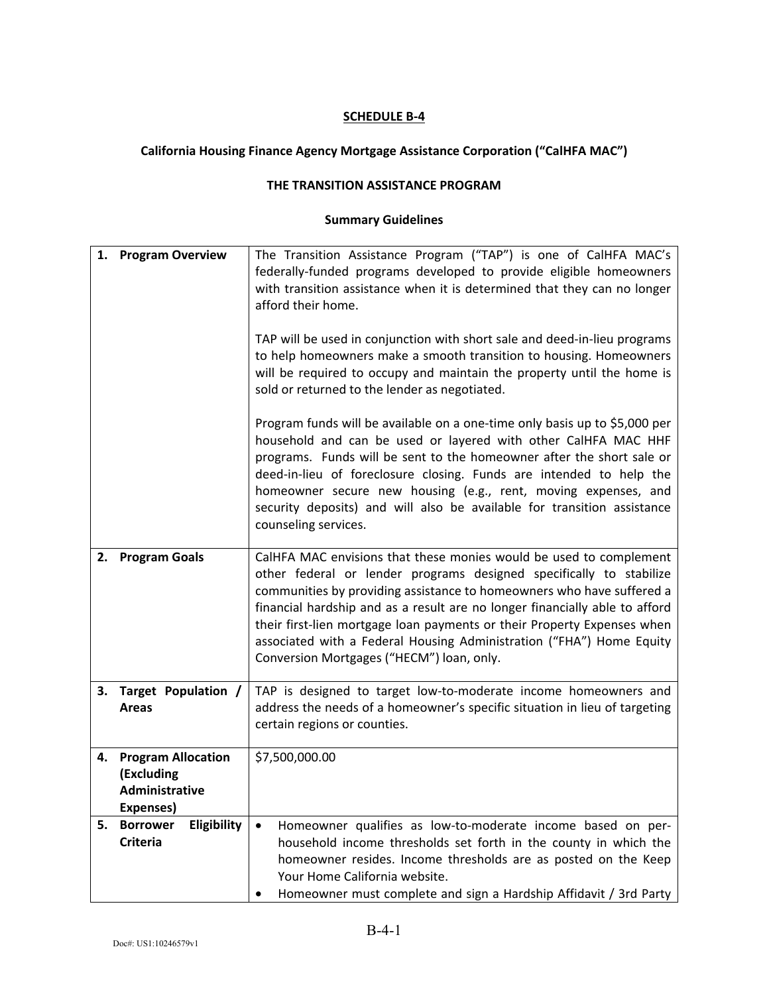# **California Housing Finance Agency Mortgage Assistance Corporation ("CalHFA MAC")**

#### **THE TRANSITION ASSISTANCE PROGRAM**

| 1. | <b>Program Overview</b>                                                | The Transition Assistance Program ("TAP") is one of CalHFA MAC's<br>federally-funded programs developed to provide eligible homeowners<br>with transition assistance when it is determined that they can no longer<br>afford their home.<br>TAP will be used in conjunction with short sale and deed-in-lieu programs<br>to help homeowners make a smooth transition to housing. Homeowners<br>will be required to occupy and maintain the property until the home is<br>sold or returned to the lender as negotiated.<br>Program funds will be available on a one-time only basis up to \$5,000 per<br>household and can be used or layered with other CalHFA MAC HHF |
|----|------------------------------------------------------------------------|------------------------------------------------------------------------------------------------------------------------------------------------------------------------------------------------------------------------------------------------------------------------------------------------------------------------------------------------------------------------------------------------------------------------------------------------------------------------------------------------------------------------------------------------------------------------------------------------------------------------------------------------------------------------|
|    |                                                                        | programs. Funds will be sent to the homeowner after the short sale or<br>deed-in-lieu of foreclosure closing. Funds are intended to help the<br>homeowner secure new housing (e.g., rent, moving expenses, and<br>security deposits) and will also be available for transition assistance<br>counseling services.                                                                                                                                                                                                                                                                                                                                                      |
| 2. | <b>Program Goals</b>                                                   | CalHFA MAC envisions that these monies would be used to complement<br>other federal or lender programs designed specifically to stabilize<br>communities by providing assistance to homeowners who have suffered a<br>financial hardship and as a result are no longer financially able to afford<br>their first-lien mortgage loan payments or their Property Expenses when<br>associated with a Federal Housing Administration ("FHA") Home Equity<br>Conversion Mortgages ("HECM") loan, only.                                                                                                                                                                      |
| 3. | Target Population /<br><b>Areas</b>                                    | TAP is designed to target low-to-moderate income homeowners and<br>address the needs of a homeowner's specific situation in lieu of targeting<br>certain regions or counties.                                                                                                                                                                                                                                                                                                                                                                                                                                                                                          |
| 4. | <b>Program Allocation</b><br>(Excluding<br>Administrative<br>Expenses) | \$7,500,000.00                                                                                                                                                                                                                                                                                                                                                                                                                                                                                                                                                                                                                                                         |
| 5. | Eligibility<br><b>Borrower</b><br>Criteria                             | Homeowner qualifies as low-to-moderate income based on per-<br>$\bullet$<br>household income thresholds set forth in the county in which the<br>homeowner resides. Income thresholds are as posted on the Keep<br>Your Home California website.<br>Homeowner must complete and sign a Hardship Affidavit / 3rd Party                                                                                                                                                                                                                                                                                                                                                   |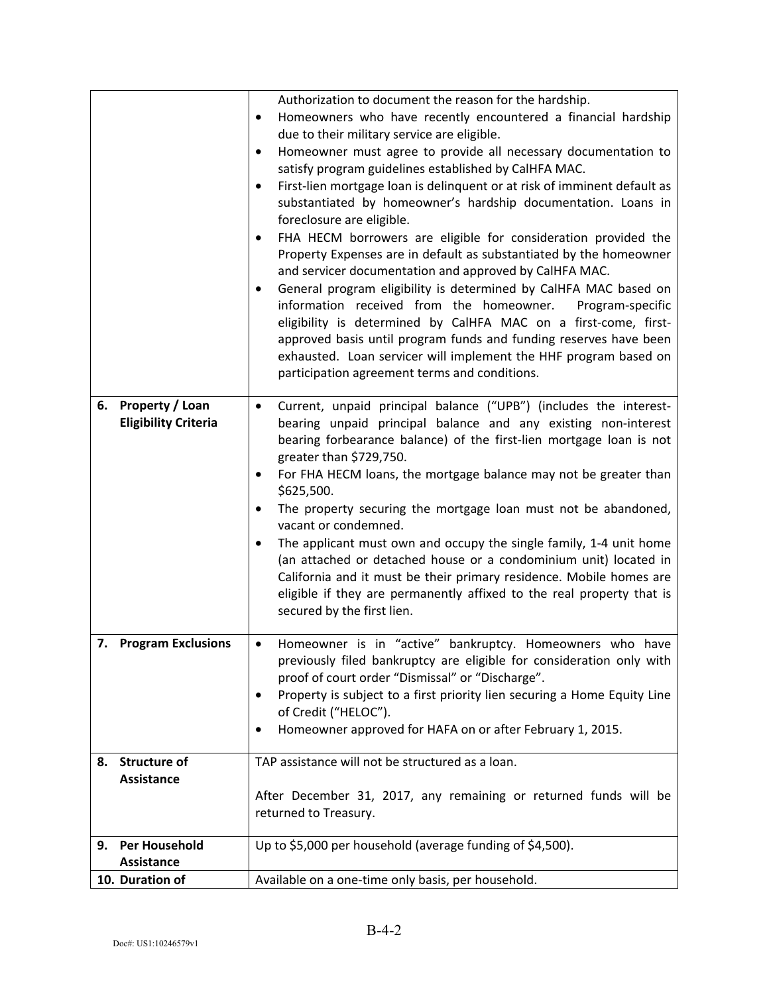|    |                                                       | Authorization to document the reason for the hardship.<br>Homeowners who have recently encountered a financial hardship<br>$\bullet$<br>due to their military service are eligible.<br>Homeowner must agree to provide all necessary documentation to<br>٠<br>satisfy program guidelines established by CalHFA MAC.<br>First-lien mortgage loan is delinquent or at risk of imminent default as<br>$\bullet$<br>substantiated by homeowner's hardship documentation. Loans in                                                                                                                                                                                                                                                                                                 |
|----|-------------------------------------------------------|-------------------------------------------------------------------------------------------------------------------------------------------------------------------------------------------------------------------------------------------------------------------------------------------------------------------------------------------------------------------------------------------------------------------------------------------------------------------------------------------------------------------------------------------------------------------------------------------------------------------------------------------------------------------------------------------------------------------------------------------------------------------------------|
|    |                                                       | foreclosure are eligible.<br>FHA HECM borrowers are eligible for consideration provided the<br>$\bullet$<br>Property Expenses are in default as substantiated by the homeowner<br>and servicer documentation and approved by CalHFA MAC.<br>General program eligibility is determined by CalHFA MAC based on<br>$\bullet$<br>information received from the homeowner.<br>Program-specific<br>eligibility is determined by CalHFA MAC on a first-come, first-<br>approved basis until program funds and funding reserves have been<br>exhausted. Loan servicer will implement the HHF program based on<br>participation agreement terms and conditions.                                                                                                                        |
| 6. | <b>Property / Loan</b><br><b>Eligibility Criteria</b> | Current, unpaid principal balance ("UPB") (includes the interest-<br>$\bullet$<br>bearing unpaid principal balance and any existing non-interest<br>bearing forbearance balance) of the first-lien mortgage loan is not<br>greater than \$729,750.<br>For FHA HECM loans, the mortgage balance may not be greater than<br>٠<br>\$625,500.<br>The property securing the mortgage loan must not be abandoned,<br>$\bullet$<br>vacant or condemned.<br>The applicant must own and occupy the single family, 1-4 unit home<br>٠<br>(an attached or detached house or a condominium unit) located in<br>California and it must be their primary residence. Mobile homes are<br>eligible if they are permanently affixed to the real property that is<br>secured by the first lien. |
|    | 7. Program Exclusions                                 | Homeowner is in "active" bankruptcy. Homeowners who have<br>$\bullet$<br>previously filed bankruptcy are eligible for consideration only with<br>proof of court order "Dismissal" or "Discharge".<br>Property is subject to a first priority lien securing a Home Equity Line<br>٠<br>of Credit ("HELOC").<br>Homeowner approved for HAFA on or after February 1, 2015.                                                                                                                                                                                                                                                                                                                                                                                                       |
| 8. | <b>Structure of</b><br><b>Assistance</b>              | TAP assistance will not be structured as a loan.<br>After December 31, 2017, any remaining or returned funds will be<br>returned to Treasury.                                                                                                                                                                                                                                                                                                                                                                                                                                                                                                                                                                                                                                 |
| 9. | Per Household<br><b>Assistance</b>                    | Up to \$5,000 per household (average funding of \$4,500).                                                                                                                                                                                                                                                                                                                                                                                                                                                                                                                                                                                                                                                                                                                     |
|    | 10. Duration of                                       | Available on a one-time only basis, per household.                                                                                                                                                                                                                                                                                                                                                                                                                                                                                                                                                                                                                                                                                                                            |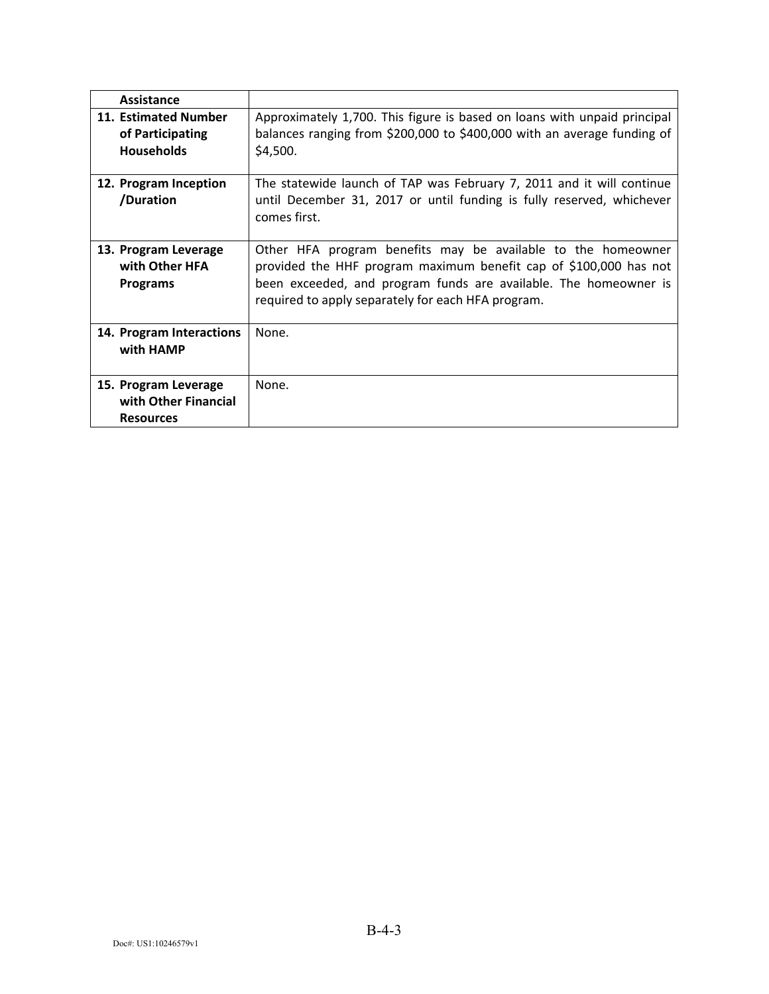| Assistance                                                       |                                                                                                                                                                                                                                                             |
|------------------------------------------------------------------|-------------------------------------------------------------------------------------------------------------------------------------------------------------------------------------------------------------------------------------------------------------|
| 11. Estimated Number<br>of Participating<br><b>Households</b>    | Approximately 1,700. This figure is based on loans with unpaid principal<br>balances ranging from \$200,000 to \$400,000 with an average funding of<br>\$4,500.                                                                                             |
| 12. Program Inception<br>/Duration                               | The statewide launch of TAP was February 7, 2011 and it will continue<br>until December 31, 2017 or until funding is fully reserved, whichever<br>comes first.                                                                                              |
| 13. Program Leverage<br>with Other HFA<br><b>Programs</b>        | Other HFA program benefits may be available to the homeowner<br>provided the HHF program maximum benefit cap of \$100,000 has not<br>been exceeded, and program funds are available. The homeowner is<br>required to apply separately for each HFA program. |
| 14. Program Interactions<br>with HAMP                            | None.                                                                                                                                                                                                                                                       |
| 15. Program Leverage<br>with Other Financial<br><b>Resources</b> | None.                                                                                                                                                                                                                                                       |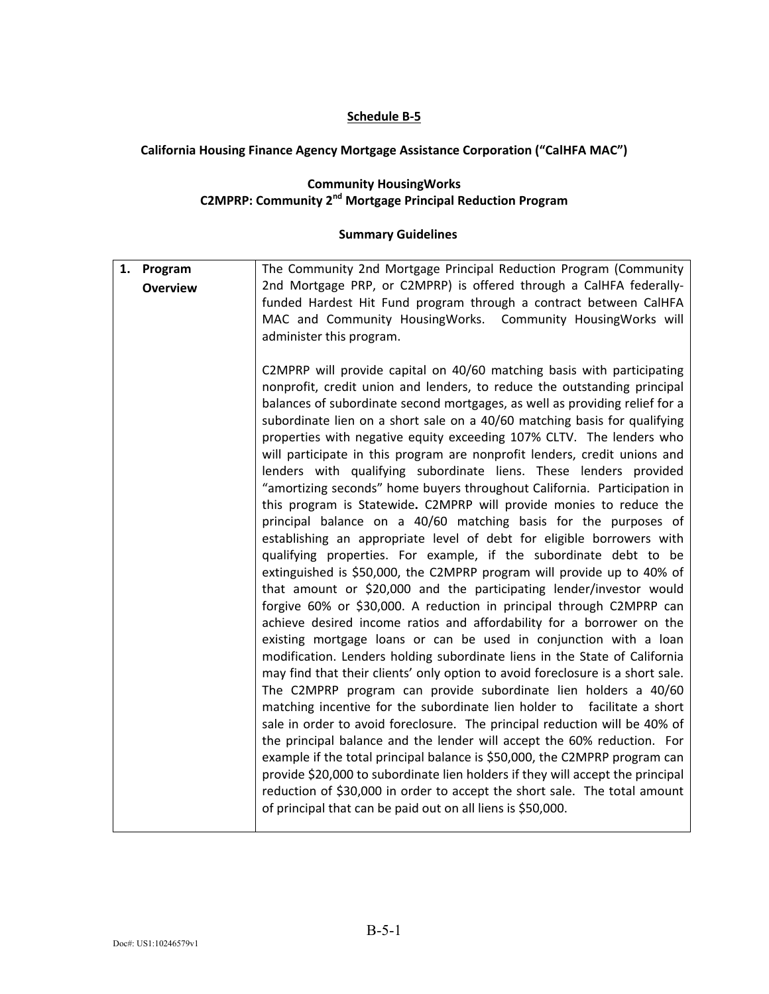#### **Schedule B-5**

# **California Housing Finance Agency Mortgage Assistance Corporation ("CalHFA MAC")**

#### **Community HousingWorks C2MPRP: Community 2nd Mortgage Principal Reduction Program**

| 1. Program<br><b>Overview</b> | The Community 2nd Mortgage Principal Reduction Program (Community<br>2nd Mortgage PRP, or C2MPRP) is offered through a CalHFA federally-<br>funded Hardest Hit Fund program through a contract between CalHFA<br>MAC and Community HousingWorks. Community HousingWorks will<br>administer this program.                                                                                                                                                                                                                                                                                                                                                                                                                                                                                                                                                                                                                                                                                                                                                                                                                                                                                                                                                                                                                                                                                                                                                                                                                                                                                                                                                                                                                                                                                                                                                                                                                                                                                                                                                                |
|-------------------------------|-------------------------------------------------------------------------------------------------------------------------------------------------------------------------------------------------------------------------------------------------------------------------------------------------------------------------------------------------------------------------------------------------------------------------------------------------------------------------------------------------------------------------------------------------------------------------------------------------------------------------------------------------------------------------------------------------------------------------------------------------------------------------------------------------------------------------------------------------------------------------------------------------------------------------------------------------------------------------------------------------------------------------------------------------------------------------------------------------------------------------------------------------------------------------------------------------------------------------------------------------------------------------------------------------------------------------------------------------------------------------------------------------------------------------------------------------------------------------------------------------------------------------------------------------------------------------------------------------------------------------------------------------------------------------------------------------------------------------------------------------------------------------------------------------------------------------------------------------------------------------------------------------------------------------------------------------------------------------------------------------------------------------------------------------------------------------|
|                               | C2MPRP will provide capital on 40/60 matching basis with participating<br>nonprofit, credit union and lenders, to reduce the outstanding principal<br>balances of subordinate second mortgages, as well as providing relief for a<br>subordinate lien on a short sale on a 40/60 matching basis for qualifying<br>properties with negative equity exceeding 107% CLTV. The lenders who<br>will participate in this program are nonprofit lenders, credit unions and<br>lenders with qualifying subordinate liens. These lenders provided<br>"amortizing seconds" home buyers throughout California. Participation in<br>this program is Statewide. C2MPRP will provide monies to reduce the<br>principal balance on a 40/60 matching basis for the purposes of<br>establishing an appropriate level of debt for eligible borrowers with<br>qualifying properties. For example, if the subordinate debt to be<br>extinguished is \$50,000, the C2MPRP program will provide up to 40% of<br>that amount or \$20,000 and the participating lender/investor would<br>forgive 60% or \$30,000. A reduction in principal through C2MPRP can<br>achieve desired income ratios and affordability for a borrower on the<br>existing mortgage loans or can be used in conjunction with a loan<br>modification. Lenders holding subordinate liens in the State of California<br>may find that their clients' only option to avoid foreclosure is a short sale.<br>The C2MPRP program can provide subordinate lien holders a 40/60<br>matching incentive for the subordinate lien holder to facilitate a short<br>sale in order to avoid foreclosure. The principal reduction will be 40% of<br>the principal balance and the lender will accept the 60% reduction. For<br>example if the total principal balance is \$50,000, the C2MPRP program can<br>provide \$20,000 to subordinate lien holders if they will accept the principal<br>reduction of \$30,000 in order to accept the short sale. The total amount<br>of principal that can be paid out on all liens is \$50,000. |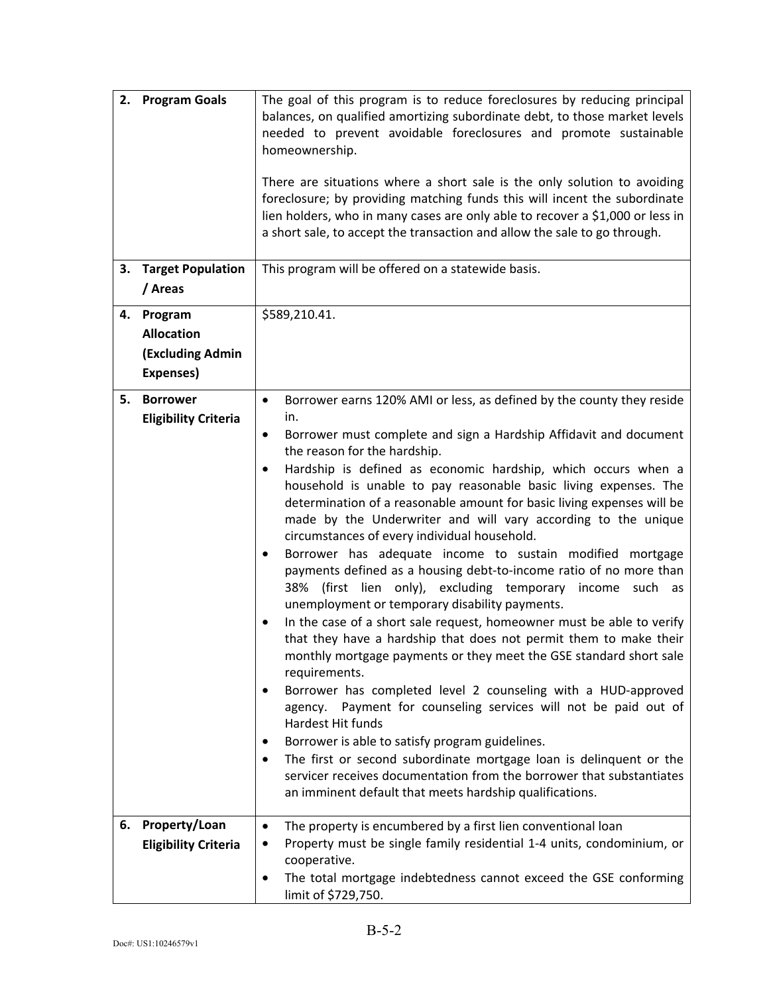| 3. | 2. Program Goals<br><b>Target Population</b>                         | The goal of this program is to reduce foreclosures by reducing principal<br>balances, on qualified amortizing subordinate debt, to those market levels<br>needed to prevent avoidable foreclosures and promote sustainable<br>homeownership.<br>There are situations where a short sale is the only solution to avoiding<br>foreclosure; by providing matching funds this will incent the subordinate<br>lien holders, who in many cases are only able to recover a \$1,000 or less in<br>a short sale, to accept the transaction and allow the sale to go through.<br>This program will be offered on a statewide basis.                                                                                                                                                                                                                                                                                                                                                                                                                                                                                                                                                                                                                                                                                                                                                                                                                                      |
|----|----------------------------------------------------------------------|----------------------------------------------------------------------------------------------------------------------------------------------------------------------------------------------------------------------------------------------------------------------------------------------------------------------------------------------------------------------------------------------------------------------------------------------------------------------------------------------------------------------------------------------------------------------------------------------------------------------------------------------------------------------------------------------------------------------------------------------------------------------------------------------------------------------------------------------------------------------------------------------------------------------------------------------------------------------------------------------------------------------------------------------------------------------------------------------------------------------------------------------------------------------------------------------------------------------------------------------------------------------------------------------------------------------------------------------------------------------------------------------------------------------------------------------------------------|
|    | / Areas                                                              |                                                                                                                                                                                                                                                                                                                                                                                                                                                                                                                                                                                                                                                                                                                                                                                                                                                                                                                                                                                                                                                                                                                                                                                                                                                                                                                                                                                                                                                                |
| 4. | Program<br><b>Allocation</b><br><b>(Excluding Admin</b><br>Expenses) | \$589,210.41.                                                                                                                                                                                                                                                                                                                                                                                                                                                                                                                                                                                                                                                                                                                                                                                                                                                                                                                                                                                                                                                                                                                                                                                                                                                                                                                                                                                                                                                  |
| 5. | <b>Borrower</b><br><b>Eligibility Criteria</b>                       | Borrower earns 120% AMI or less, as defined by the county they reside<br>$\bullet$<br>in.<br>Borrower must complete and sign a Hardship Affidavit and document<br>٠<br>the reason for the hardship.<br>Hardship is defined as economic hardship, which occurs when a<br>٠<br>household is unable to pay reasonable basic living expenses. The<br>determination of a reasonable amount for basic living expenses will be<br>made by the Underwriter and will vary according to the unique<br>circumstances of every individual household.<br>Borrower has adequate income to sustain modified mortgage<br>٠<br>payments defined as a housing debt-to-income ratio of no more than<br>38% (first lien only), excluding temporary income such as<br>unemployment or temporary disability payments.<br>In the case of a short sale request, homeowner must be able to verify<br>that they have a hardship that does not permit them to make their<br>monthly mortgage payments or they meet the GSE standard short sale<br>requirements.<br>Borrower has completed level 2 counseling with a HUD-approved<br>agency. Payment for counseling services will not be paid out of<br>Hardest Hit funds<br>Borrower is able to satisfy program guidelines.<br>٠<br>The first or second subordinate mortgage loan is delinquent or the<br>servicer receives documentation from the borrower that substantiates<br>an imminent default that meets hardship qualifications. |
| 6. | Property/Loan<br><b>Eligibility Criteria</b>                         | The property is encumbered by a first lien conventional loan<br>٠<br>Property must be single family residential 1-4 units, condominium, or<br>cooperative.<br>The total mortgage indebtedness cannot exceed the GSE conforming<br>limit of \$729,750.                                                                                                                                                                                                                                                                                                                                                                                                                                                                                                                                                                                                                                                                                                                                                                                                                                                                                                                                                                                                                                                                                                                                                                                                          |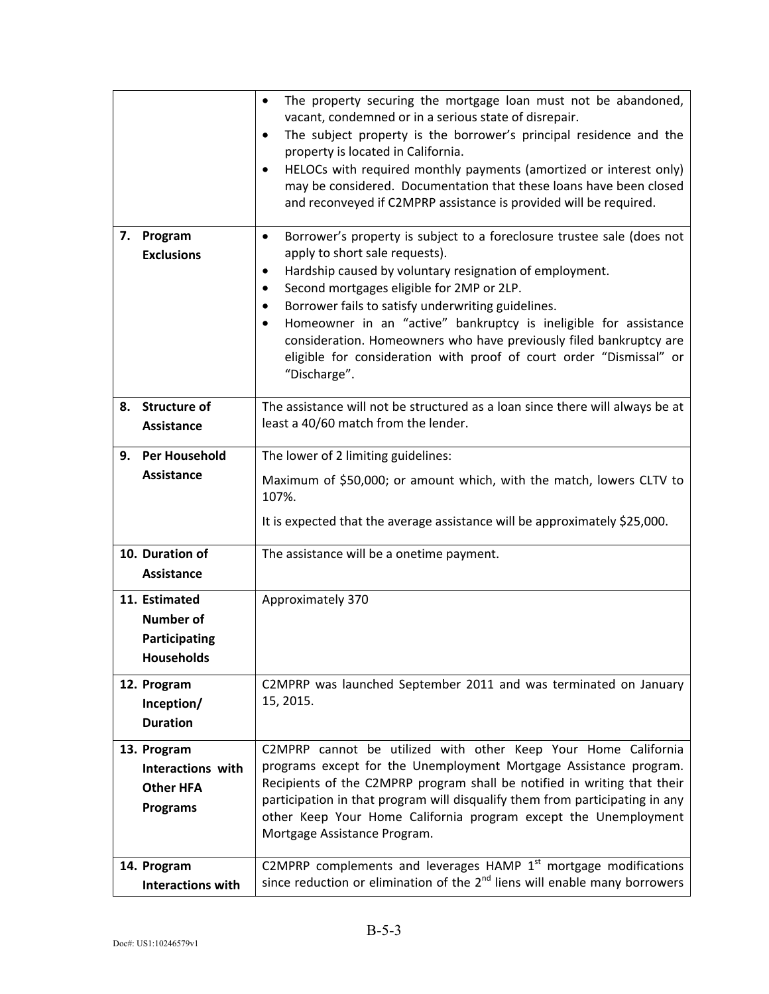|    |                                                                                | The property securing the mortgage loan must not be abandoned,<br>٠<br>vacant, condemned or in a serious state of disrepair.<br>The subject property is the borrower's principal residence and the<br>$\bullet$<br>property is located in California.<br>HELOCs with required monthly payments (amortized or interest only)<br>$\bullet$<br>may be considered. Documentation that these loans have been closed<br>and reconveyed if C2MPRP assistance is provided will be required.                                                 |
|----|--------------------------------------------------------------------------------|-------------------------------------------------------------------------------------------------------------------------------------------------------------------------------------------------------------------------------------------------------------------------------------------------------------------------------------------------------------------------------------------------------------------------------------------------------------------------------------------------------------------------------------|
| 7. | Program<br><b>Exclusions</b>                                                   | Borrower's property is subject to a foreclosure trustee sale (does not<br>$\bullet$<br>apply to short sale requests).<br>Hardship caused by voluntary resignation of employment.<br>٠<br>Second mortgages eligible for 2MP or 2LP.<br>٠<br>Borrower fails to satisfy underwriting guidelines.<br>٠<br>Homeowner in an "active" bankruptcy is ineligible for assistance<br>consideration. Homeowners who have previously filed bankruptcy are<br>eligible for consideration with proof of court order "Dismissal" or<br>"Discharge". |
|    | 8. Structure of<br><b>Assistance</b>                                           | The assistance will not be structured as a loan since there will always be at<br>least a 40/60 match from the lender.                                                                                                                                                                                                                                                                                                                                                                                                               |
| 9. | <b>Per Household</b>                                                           | The lower of 2 limiting guidelines:                                                                                                                                                                                                                                                                                                                                                                                                                                                                                                 |
|    | <b>Assistance</b>                                                              | Maximum of \$50,000; or amount which, with the match, lowers CLTV to<br>107%.<br>It is expected that the average assistance will be approximately \$25,000.                                                                                                                                                                                                                                                                                                                                                                         |
|    | 10. Duration of<br><b>Assistance</b>                                           | The assistance will be a onetime payment.                                                                                                                                                                                                                                                                                                                                                                                                                                                                                           |
|    | 11. Estimated<br><b>Number of</b><br><b>Participating</b><br><b>Households</b> | Approximately 370                                                                                                                                                                                                                                                                                                                                                                                                                                                                                                                   |
|    | 12. Program<br>Inception/<br><b>Duration</b>                                   | C2MPRP was launched September 2011 and was terminated on January<br>15, 2015.                                                                                                                                                                                                                                                                                                                                                                                                                                                       |
|    | 13. Program<br><b>Interactions with</b><br><b>Other HFA</b><br><b>Programs</b> | C2MPRP cannot be utilized with other Keep Your Home California<br>programs except for the Unemployment Mortgage Assistance program.<br>Recipients of the C2MPRP program shall be notified in writing that their<br>participation in that program will disqualify them from participating in any<br>other Keep Your Home California program except the Unemployment<br>Mortgage Assistance Program.                                                                                                                                  |
|    | 14. Program<br><b>Interactions with</b>                                        | C2MPRP complements and leverages HAMP 1st mortgage modifications<br>since reduction or elimination of the 2 <sup>nd</sup> liens will enable many borrowers                                                                                                                                                                                                                                                                                                                                                                          |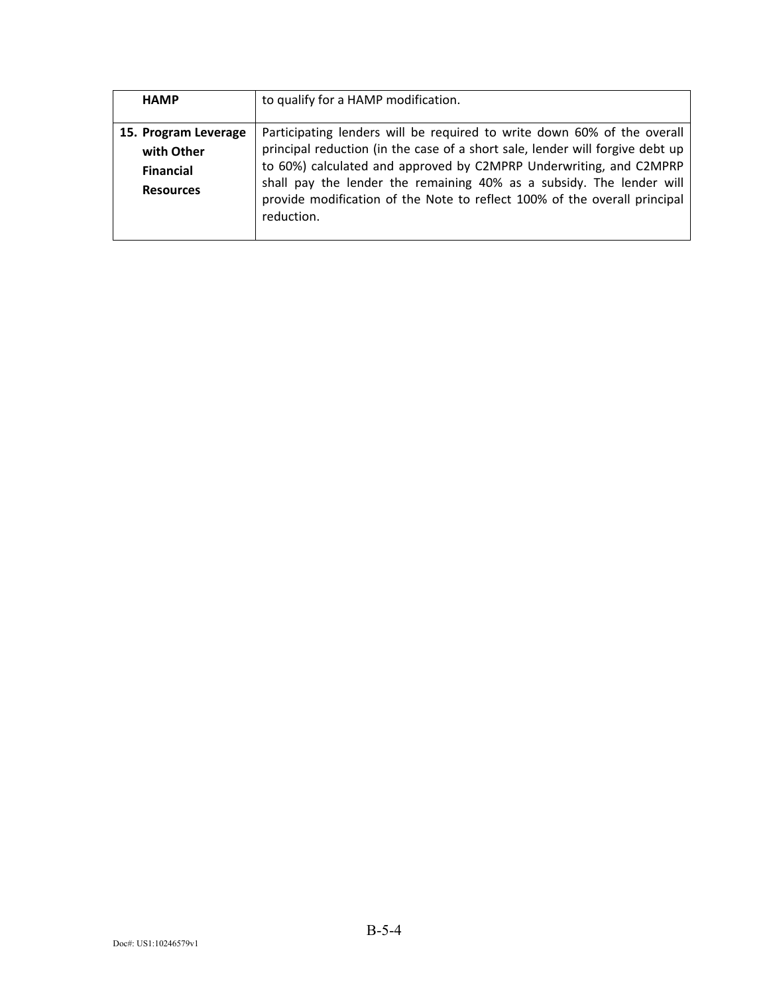| <b>HAMP</b>          | to qualify for a HAMP modification.                                                                                                                             |
|----------------------|-----------------------------------------------------------------------------------------------------------------------------------------------------------------|
| 15. Program Leverage | Participating lenders will be required to write down 60% of the overall                                                                                         |
| with Other           | principal reduction (in the case of a short sale, lender will forgive debt up                                                                                   |
| <b>Financial</b>     | to 60%) calculated and approved by C2MPRP Underwriting, and C2MPRP                                                                                              |
| <b>Resources</b>     | shall pay the lender the remaining 40% as a subsidy. The lender will<br>provide modification of the Note to reflect 100% of the overall principal<br>reduction. |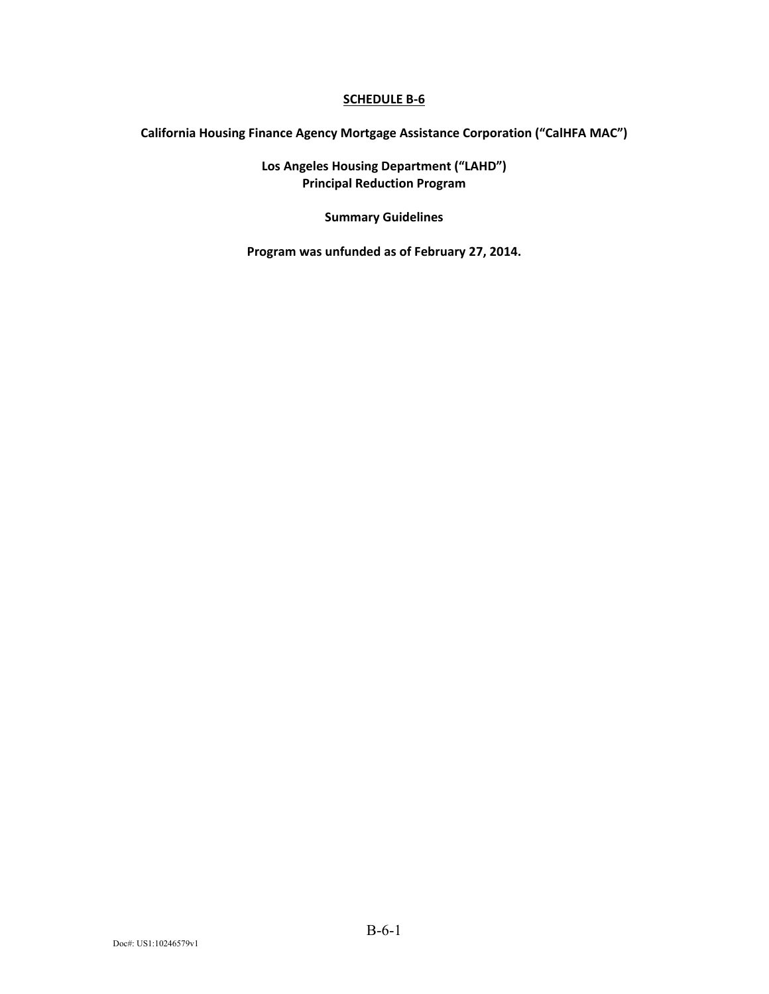**California Housing Finance Agency Mortgage Assistance Corporation ("CalHFA MAC")** 

**Los Angeles Housing Department ("LAHD") Principal Reduction Program** 

**Summary Guidelines** 

**Program was unfunded as of February 27, 2014.**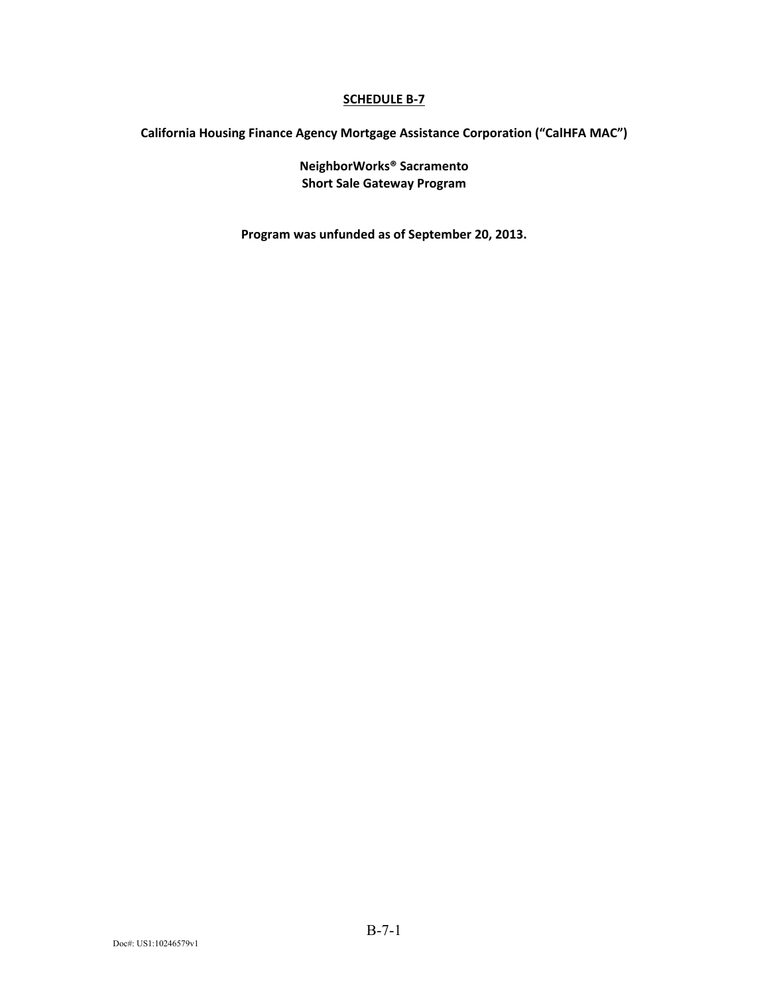**California Housing Finance Agency Mortgage Assistance Corporation ("CalHFA MAC")** 

**NeighborWorks® Sacramento Short Sale Gateway Program** 

**Program was unfunded as of September 20, 2013.**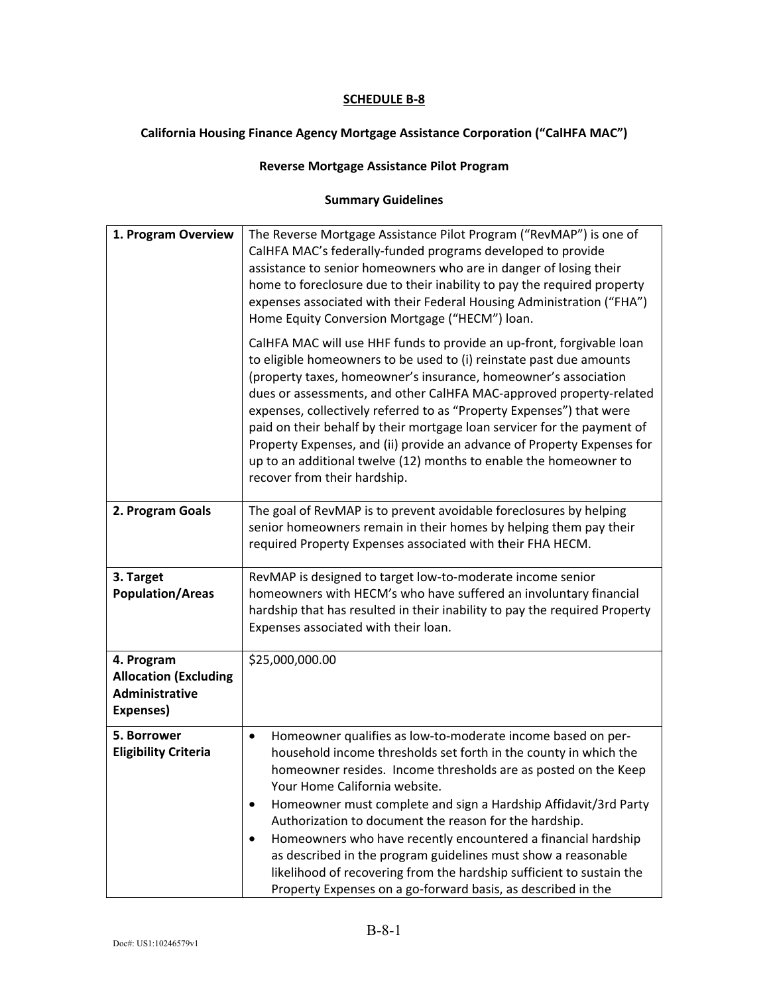#### **California Housing Finance Agency Mortgage Assistance Corporation ("CalHFA MAC")**

#### **Reverse Mortgage Assistance Pilot Program**

| 1. Program Overview                                                       | The Reverse Mortgage Assistance Pilot Program ("RevMAP") is one of<br>CalHFA MAC's federally-funded programs developed to provide<br>assistance to senior homeowners who are in danger of losing their<br>home to foreclosure due to their inability to pay the required property<br>expenses associated with their Federal Housing Administration ("FHA")<br>Home Equity Conversion Mortgage ("HECM") loan.                                                                                                                                                                                                                                                     |
|---------------------------------------------------------------------------|------------------------------------------------------------------------------------------------------------------------------------------------------------------------------------------------------------------------------------------------------------------------------------------------------------------------------------------------------------------------------------------------------------------------------------------------------------------------------------------------------------------------------------------------------------------------------------------------------------------------------------------------------------------|
|                                                                           | CalHFA MAC will use HHF funds to provide an up-front, forgivable loan<br>to eligible homeowners to be used to (i) reinstate past due amounts<br>(property taxes, homeowner's insurance, homeowner's association<br>dues or assessments, and other CalHFA MAC-approved property-related<br>expenses, collectively referred to as "Property Expenses") that were<br>paid on their behalf by their mortgage loan servicer for the payment of<br>Property Expenses, and (ii) provide an advance of Property Expenses for<br>up to an additional twelve (12) months to enable the homeowner to<br>recover from their hardship.                                        |
| 2. Program Goals                                                          | The goal of RevMAP is to prevent avoidable foreclosures by helping<br>senior homeowners remain in their homes by helping them pay their<br>required Property Expenses associated with their FHA HECM.                                                                                                                                                                                                                                                                                                                                                                                                                                                            |
| 3. Target<br><b>Population/Areas</b>                                      | RevMAP is designed to target low-to-moderate income senior<br>homeowners with HECM's who have suffered an involuntary financial<br>hardship that has resulted in their inability to pay the required Property<br>Expenses associated with their loan.                                                                                                                                                                                                                                                                                                                                                                                                            |
| 4. Program<br><b>Allocation (Excluding</b><br>Administrative<br>Expenses) | \$25,000,000.00                                                                                                                                                                                                                                                                                                                                                                                                                                                                                                                                                                                                                                                  |
| 5. Borrower<br><b>Eligibility Criteria</b>                                | Homeowner qualifies as low-to-moderate income based on per-<br>$\bullet$<br>household income thresholds set forth in the county in which the<br>homeowner resides. Income thresholds are as posted on the Keep<br>Your Home California website.<br>Homeowner must complete and sign a Hardship Affidavit/3rd Party<br>٠<br>Authorization to document the reason for the hardship.<br>Homeowners who have recently encountered a financial hardship<br>٠<br>as described in the program guidelines must show a reasonable<br>likelihood of recovering from the hardship sufficient to sustain the<br>Property Expenses on a go-forward basis, as described in the |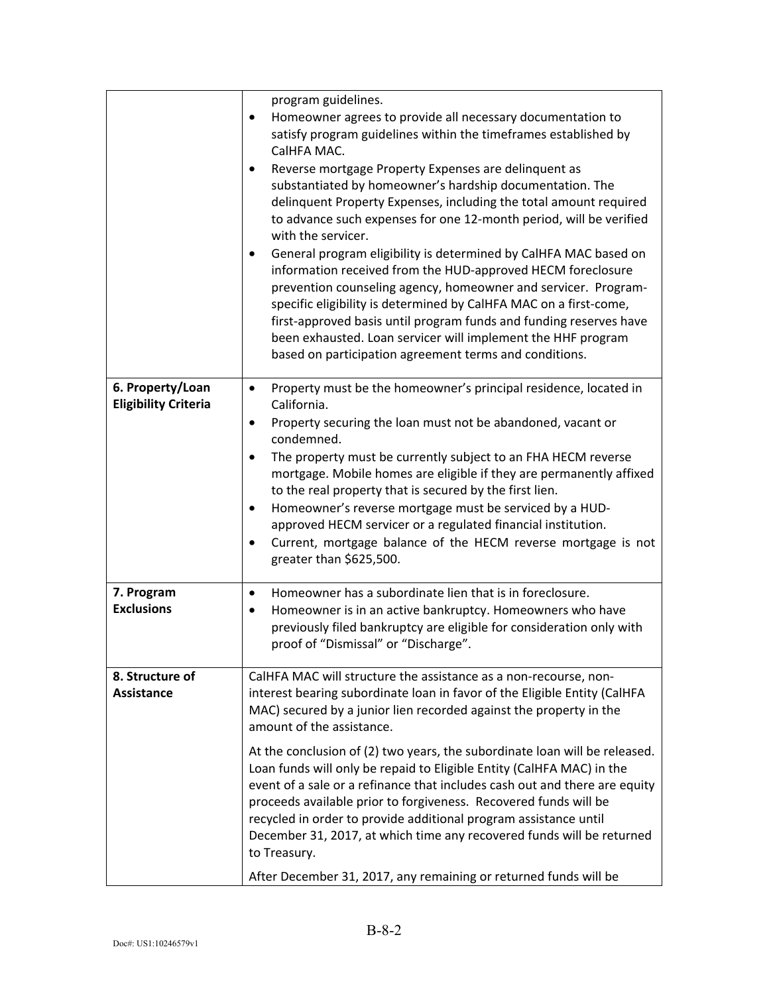|                                                 | program guidelines.<br>Homeowner agrees to provide all necessary documentation to<br>٠<br>satisfy program guidelines within the timeframes established by<br>CalHFA MAC.<br>Reverse mortgage Property Expenses are delinquent as<br>substantiated by homeowner's hardship documentation. The<br>delinquent Property Expenses, including the total amount required<br>to advance such expenses for one 12-month period, will be verified<br>with the servicer.<br>General program eligibility is determined by CalHFA MAC based on<br>$\bullet$<br>information received from the HUD-approved HECM foreclosure<br>prevention counseling agency, homeowner and servicer. Program-                                                                                                            |
|-------------------------------------------------|--------------------------------------------------------------------------------------------------------------------------------------------------------------------------------------------------------------------------------------------------------------------------------------------------------------------------------------------------------------------------------------------------------------------------------------------------------------------------------------------------------------------------------------------------------------------------------------------------------------------------------------------------------------------------------------------------------------------------------------------------------------------------------------------|
|                                                 | specific eligibility is determined by CalHFA MAC on a first-come,<br>first-approved basis until program funds and funding reserves have<br>been exhausted. Loan servicer will implement the HHF program<br>based on participation agreement terms and conditions.                                                                                                                                                                                                                                                                                                                                                                                                                                                                                                                          |
| 6. Property/Loan<br><b>Eligibility Criteria</b> | Property must be the homeowner's principal residence, located in<br>$\bullet$<br>California.<br>Property securing the loan must not be abandoned, vacant or<br>٠<br>condemned.<br>The property must be currently subject to an FHA HECM reverse<br>$\bullet$<br>mortgage. Mobile homes are eligible if they are permanently affixed<br>to the real property that is secured by the first lien.<br>Homeowner's reverse mortgage must be serviced by a HUD-<br>٠<br>approved HECM servicer or a regulated financial institution.<br>Current, mortgage balance of the HECM reverse mortgage is not<br>$\bullet$<br>greater than \$625,500.                                                                                                                                                    |
| 7. Program<br><b>Exclusions</b>                 | Homeowner has a subordinate lien that is in foreclosure.<br>$\bullet$<br>Homeowner is in an active bankruptcy. Homeowners who have<br>٠<br>previously filed bankruptcy are eligible for consideration only with<br>proof of "Dismissal" or "Discharge".                                                                                                                                                                                                                                                                                                                                                                                                                                                                                                                                    |
| 8. Structure of<br><b>Assistance</b>            | CalHFA MAC will structure the assistance as a non-recourse, non-<br>interest bearing subordinate loan in favor of the Eligible Entity (CalHFA<br>MAC) secured by a junior lien recorded against the property in the<br>amount of the assistance.<br>At the conclusion of (2) two years, the subordinate loan will be released.<br>Loan funds will only be repaid to Eligible Entity (CalHFA MAC) in the<br>event of a sale or a refinance that includes cash out and there are equity<br>proceeds available prior to forgiveness. Recovered funds will be<br>recycled in order to provide additional program assistance until<br>December 31, 2017, at which time any recovered funds will be returned<br>to Treasury.<br>After December 31, 2017, any remaining or returned funds will be |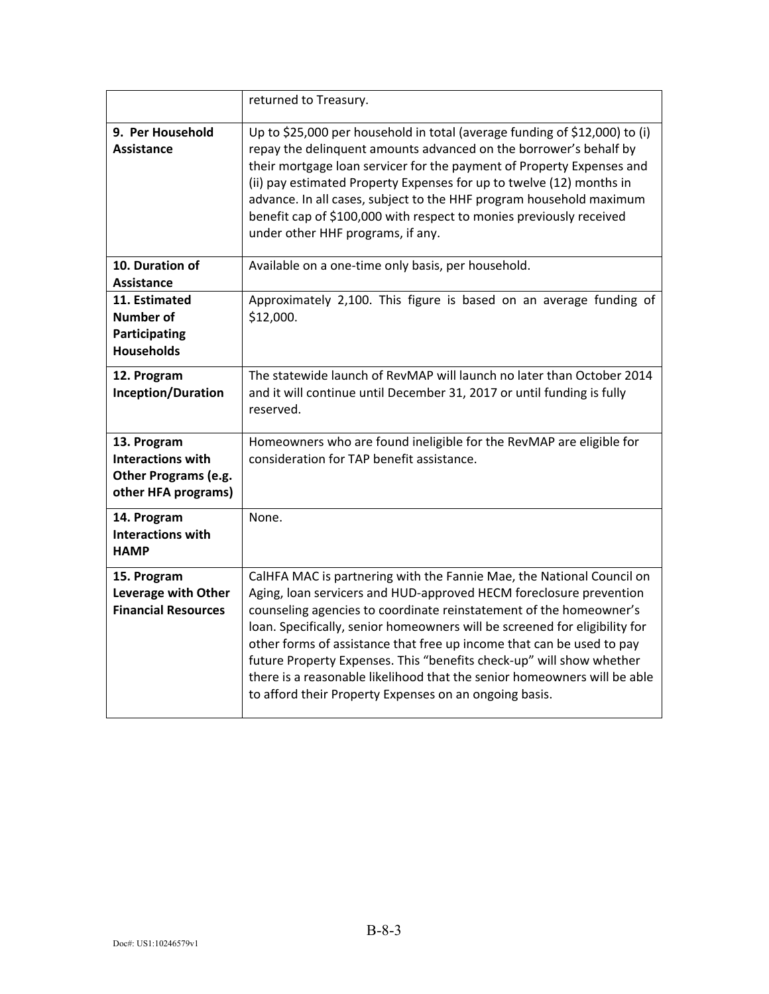|                                                                                        | returned to Treasury.                                                                                                                                                                                                                                                                                                                                                                                                                                                                                                                                                                  |
|----------------------------------------------------------------------------------------|----------------------------------------------------------------------------------------------------------------------------------------------------------------------------------------------------------------------------------------------------------------------------------------------------------------------------------------------------------------------------------------------------------------------------------------------------------------------------------------------------------------------------------------------------------------------------------------|
| 9. Per Household<br><b>Assistance</b>                                                  | Up to \$25,000 per household in total (average funding of \$12,000) to (i)<br>repay the delinguent amounts advanced on the borrower's behalf by<br>their mortgage loan servicer for the payment of Property Expenses and<br>(ii) pay estimated Property Expenses for up to twelve (12) months in<br>advance. In all cases, subject to the HHF program household maximum<br>benefit cap of \$100,000 with respect to monies previously received<br>under other HHF programs, if any.                                                                                                    |
| 10. Duration of<br><b>Assistance</b>                                                   | Available on a one-time only basis, per household.                                                                                                                                                                                                                                                                                                                                                                                                                                                                                                                                     |
| 11. Estimated<br><b>Number of</b><br>Participating<br><b>Households</b>                | Approximately 2,100. This figure is based on an average funding of<br>\$12,000.                                                                                                                                                                                                                                                                                                                                                                                                                                                                                                        |
| 12. Program<br><b>Inception/Duration</b>                                               | The statewide launch of RevMAP will launch no later than October 2014<br>and it will continue until December 31, 2017 or until funding is fully<br>reserved.                                                                                                                                                                                                                                                                                                                                                                                                                           |
| 13. Program<br><b>Interactions with</b><br>Other Programs (e.g.<br>other HFA programs) | Homeowners who are found ineligible for the RevMAP are eligible for<br>consideration for TAP benefit assistance.                                                                                                                                                                                                                                                                                                                                                                                                                                                                       |
| 14. Program<br><b>Interactions with</b><br><b>HAMP</b>                                 | None.                                                                                                                                                                                                                                                                                                                                                                                                                                                                                                                                                                                  |
| 15. Program<br>Leverage with Other<br><b>Financial Resources</b>                       | CalHFA MAC is partnering with the Fannie Mae, the National Council on<br>Aging, loan servicers and HUD-approved HECM foreclosure prevention<br>counseling agencies to coordinate reinstatement of the homeowner's<br>loan. Specifically, senior homeowners will be screened for eligibility for<br>other forms of assistance that free up income that can be used to pay<br>future Property Expenses. This "benefits check-up" will show whether<br>there is a reasonable likelihood that the senior homeowners will be able<br>to afford their Property Expenses on an ongoing basis. |